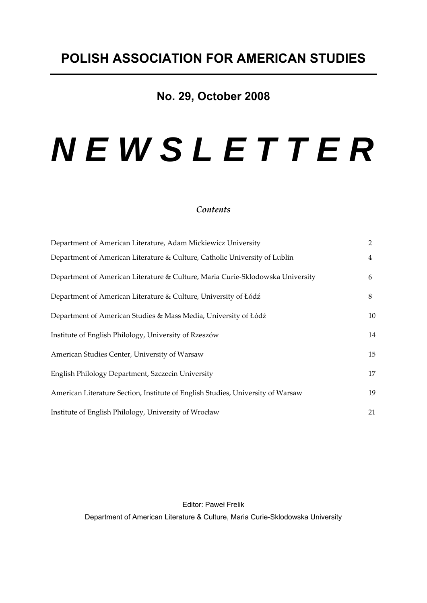# **No. 29, October 2008**

# *N E W S L E T T E R*

# *Contents*

| Department of American Literature, Adam Mickiewicz University                   | $\overline{2}$ |
|---------------------------------------------------------------------------------|----------------|
| Department of American Literature & Culture, Catholic University of Lublin      | 4              |
| Department of American Literature & Culture, Maria Curie-Sklodowska University  | 6              |
| Department of American Literature & Culture, University of Łódź                 | 8              |
| Department of American Studies & Mass Media, University of Łódź                 | 10             |
| Institute of English Philology, University of Rzeszów                           | 14             |
| American Studies Center, University of Warsaw                                   | 15             |
| English Philology Department, Szczecin University                               | 17             |
| American Literature Section, Institute of English Studies, University of Warsaw | 19             |
| Institute of English Philology, University of Wrocław                           | 21             |

Editor: Paweł Frelik Department of American Literature & Culture, Maria Curie-Sklodowska University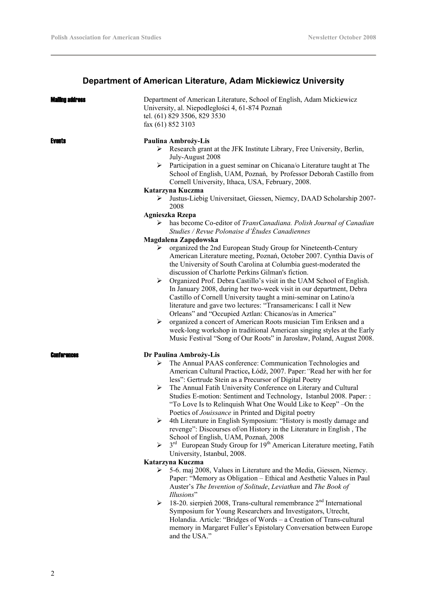# **Department of American Literature, Adam Mickiewicz University**

| Mailing address | Department of American Literature, School of English, Adam Mickiewicz<br>University, al. Niepodległości 4, 61-874 Poznań<br>tel. (61) 829 3506, 829 3530<br>fax (61) 852 3103                                                                                                                                                                                                                                                     |
|-----------------|-----------------------------------------------------------------------------------------------------------------------------------------------------------------------------------------------------------------------------------------------------------------------------------------------------------------------------------------------------------------------------------------------------------------------------------|
| Events          | Paulina Ambroży-Lis<br>Research grant at the JFK Institute Library, Free University, Berlin,<br>July-August 2008<br>Participation in a guest seminar on Chicana/o Literature taught at The<br>≻<br>School of English, UAM, Poznań, by Professor Deborah Castillo from<br>Cornell University, Ithaca, USA, February, 2008.<br>Katarzyna Kuczma<br>Justus-Liebig Universitaet, Giessen, Niemcy, DAAD Scholarship 2007-<br>➤<br>2008 |
|                 | Agnieszka Rzepa                                                                                                                                                                                                                                                                                                                                                                                                                   |
|                 | has become Co-editor of TransCanadiana. Polish Journal of Canadian<br>➤<br>Studies / Revue Polonaise d'Études Canadiennes                                                                                                                                                                                                                                                                                                         |
|                 | Magdalena Zapędowska                                                                                                                                                                                                                                                                                                                                                                                                              |
|                 | organized the 2nd European Study Group for Nineteenth-Century<br>➤<br>American Literature meeting, Poznań, October 2007. Cynthia Davis of<br>the University of South Carolina at Columbia guest-moderated the<br>discussion of Charlotte Perkins Gilman's fiction.                                                                                                                                                                |
|                 | Organized Prof. Debra Castillo's visit in the UAM School of English.<br>➤<br>In January 2008, during her two-week visit in our department, Debra<br>Castillo of Cornell University taught a mini-seminar on Latino/a<br>literature and gave two lectures: "Transamericans: I call it New<br>Orleans" and "Occupied Aztlan: Chicanos/as in America"                                                                                |
|                 | organized a concert of American Roots musician Tim Eriksen and a<br>➤<br>week-long workshop in traditional American singing styles at the Early<br>Music Festival "Song of Our Roots" in Jarosław, Poland, August 2008.                                                                                                                                                                                                           |
| Conferences     | Dr Paulina Ambroży-Lis                                                                                                                                                                                                                                                                                                                                                                                                            |
|                 | The Annual PAAS conference: Communication Technologies and<br>➤<br>American Cultural Practice, Łódź, 2007. Paper: "Read her with her for<br>less": Gertrude Stein as a Precursor of Digital Poetry                                                                                                                                                                                                                                |
|                 | The Annual Fatih University Conference on Literary and Cultural<br>➤<br>Studies E-motion: Sentiment and Technology, Istanbul 2008. Paper: :<br>"To Love Is to Relinquish What One Would Like to Keep" - On the<br>Poetics of <i>Jouissance</i> in Printed and Digital poetry                                                                                                                                                      |
|                 | 4th Literature in English Symposium: "History is mostly damage and<br>≻<br>revenge": Discourses of/on History in the Literature in English, The<br>School of English, UAM, Poznań, 2008                                                                                                                                                                                                                                           |
|                 | 3 <sup>rd</sup> European Study Group for 19 <sup>th</sup> American Literature meeting, Fatih<br>$\blacktriangleright$<br>University, Istanbul, 2008.                                                                                                                                                                                                                                                                              |
|                 | Katarzyna Kuczma                                                                                                                                                                                                                                                                                                                                                                                                                  |
|                 | 5-6. maj 2008, Values in Literature and the Media, Giessen, Niemcy.<br>➤<br>Paper: "Memory as Obligation - Ethical and Aesthetic Values in Paul<br>Auster's The Invention of Solitude, Leviathan and The Book of<br>Illusions"                                                                                                                                                                                                    |
|                 | 18-20. sierpień 2008, Trans-cultural remembrance 2 <sup>nd</sup> International<br>➤<br>Symposium for Young Researchers and Investigators, Utrecht,<br>Holandia. Article: "Bridges of Words - a Creation of Trans-cultural<br>memory in Margaret Fuller's Epistolary Conversation between Europe<br>and the USA."                                                                                                                  |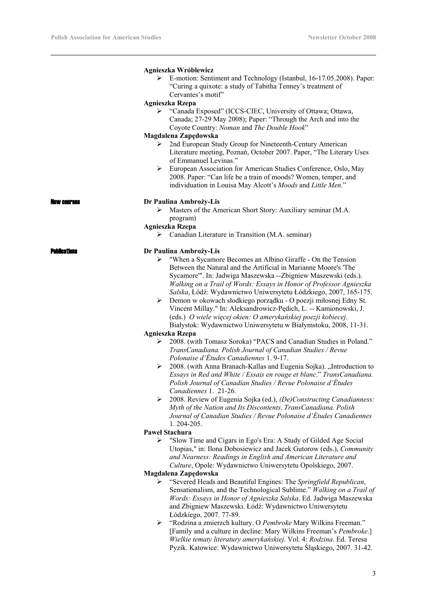J.

|              | Agnieszka Wróblewicz<br>E-motion: Sentiment and Technology (Istanbul, 16-17.05.2008). Paper:<br>"Curing a quixote: a study of Tabitha Tenney's treatment of<br>Cervantes's motif"                                                                                                                               |
|--------------|-----------------------------------------------------------------------------------------------------------------------------------------------------------------------------------------------------------------------------------------------------------------------------------------------------------------|
|              | <b>Agnieszka Rzepa</b>                                                                                                                                                                                                                                                                                          |
|              | "Canada Exposed" (ICCS-CIEC, University of Ottawa; Ottawa,<br>Canada; 27-29 May 2008); Paper: "Through the Arch and into the<br>Coyote Country: Noman and The Double Hook"                                                                                                                                      |
|              | Magdalena Zapędowska                                                                                                                                                                                                                                                                                            |
|              | 2nd European Study Group for Nineteenth-Century American<br>➤<br>Literature meeting, Poznań, October 2007. Paper, "The Literary Uses<br>of Emmanuel Levinas."<br>European Association for American Studies Conference, Oslo, May                                                                                |
|              | 2008. Paper: "Can life be a train of moods? Women, temper, and<br>individuation in Louisa May Alcott's Moods and Little Men."                                                                                                                                                                                   |
|              | Dr Paulina Ambroży-Lis                                                                                                                                                                                                                                                                                          |
|              | Masters of the American Short Story: Auxiliary seminar (M.A.<br>➤                                                                                                                                                                                                                                               |
|              | program)                                                                                                                                                                                                                                                                                                        |
|              | <b>Agnieszka Rzepa</b>                                                                                                                                                                                                                                                                                          |
|              | $\triangleright$ Canadian Literature in Transition (M.A. seminar)                                                                                                                                                                                                                                               |
|              |                                                                                                                                                                                                                                                                                                                 |
| Publications | Dr Paulina Ambroży-Lis                                                                                                                                                                                                                                                                                          |
|              | "When a Sycamore Becomes an Albino Giraffe - On the Tension<br>➤                                                                                                                                                                                                                                                |
|              | Between the Natural and the Artificial in Marianne Moore's 'The                                                                                                                                                                                                                                                 |
|              | Sycamore"'. In: Jadwiga Maszewska --Zbigniew Maszewski (eds.).                                                                                                                                                                                                                                                  |
|              | Walking on a Trail of Words: Essays in Honor of Professor Agnieszka                                                                                                                                                                                                                                             |
|              | Salska, Łódź: Wydawnictwo Uniwersytetu Łódzkiego, 2007, 165-175.                                                                                                                                                                                                                                                |
|              | Demon w okowach słodkiego porządku - O poezji miłosnej Edny St.<br>➤                                                                                                                                                                                                                                            |
|              | Vincent Millay." In: Aleksandrowicz-Pędich, L. -- Kamionowski, J.                                                                                                                                                                                                                                               |
|              | (eds.) O wiele więcej okien: O amerykańskiej poezji kobiecej.                                                                                                                                                                                                                                                   |
|              | Białystok: Wydawnictwo Uniwersytetu w Białymstoku, 2008, 11-31.                                                                                                                                                                                                                                                 |
|              | <b>Agnieszka Rzepa</b>                                                                                                                                                                                                                                                                                          |
|              | 2008. (with Tomasz Soroka) "PACS and Canadian Studies in Poland."<br>➤                                                                                                                                                                                                                                          |
|              | TransCanadiana. Polish Journal of Canadian Studies / Revue                                                                                                                                                                                                                                                      |
|              | Polonaise d'Études Canadiennes 1.9-17.                                                                                                                                                                                                                                                                          |
|              | 2008. (with Anna Branach-Kallas and Eugenia Sojka). "Introduction to<br>≻<br>Essays in Red and White / Essais en rouge et blanc." TransCanadiana.<br>Polish Journal of Canadian Studies / Revue Polonaise d'Études                                                                                              |
|              | Canadiennes 1. 21-26.                                                                                                                                                                                                                                                                                           |
|              | ➤<br>2008. Review of Eugenia Sojka (ed.), (De)Constructing Canadianness:<br>Myth of the Nation and Its Discontents. TransCanadiana. Polish<br>Journal of Canadian Studies / Revue Polonaise d'Études Canadiennes                                                                                                |
|              | 1.204-205.                                                                                                                                                                                                                                                                                                      |
|              | <b>Pawel Stachura</b>                                                                                                                                                                                                                                                                                           |
|              | "Slow Time and Cigars in Ego's Era: A Study of Gilded Age Social<br>⋗                                                                                                                                                                                                                                           |
|              | Utopias," in: Ilona Dobosiewicz and Jacek Gutorow (eds.), Community<br>and Nearness: Readings in English and American Literature and<br>Culture, Opole: Wydawnictwo Uniwersytetu Opolskiego, 2007.                                                                                                              |
|              | Magdalena Zapędowska                                                                                                                                                                                                                                                                                            |
|              | "Severed Heads and Beautiful Engines: The Springfield Republican,<br>➤<br>Sensationalism, and the Technological Sublime." Walking on a Trail of<br>Words: Essays in Honor of Agnieszka Salska. Ed. Jadwiga Maszewska<br>and Zbigniew Maszewski. Łódź: Wydawnictwo Uniwersytetu                                  |
|              | Łódzkiego, 2007. 77-89.<br>> "Rodzina a zmierzch kultury. O Pembroke Mary Wilkins Freeman."<br>[Family and a culture in decline: Mary Wilkins Freeman's Pembroke.]<br>Wielkie tematy literatury amerykańskiej. Vol. 4: Rodzina. Ed. Teresa<br>Pyzik. Katowice: Wydawnictwo Uniwersytetu Śląskiego, 2007. 31-42. |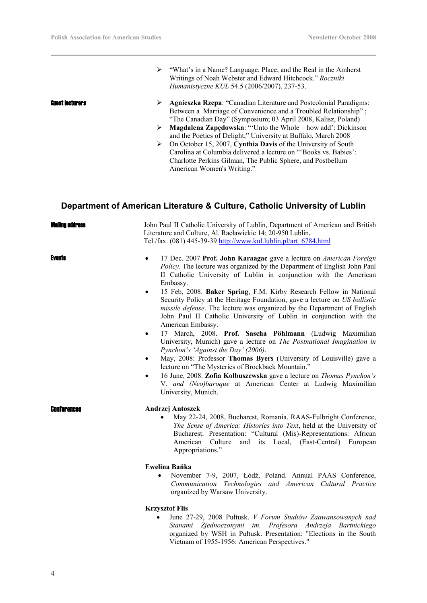¾ "What's in a Name? Language, Place, and the Real in the Amherst Writings of Noah Webster and Edward Hitchcock." *Roczniki Humanistyczne KUL* 54.5 (2006/2007). 237-53.

- **Guest lecturers**  $\rightarrow$  **Agnieszka Rzepa**: "Canadian Literature and Postcolonial Paradigms: Between a Marriage of Convenience and a Troubled Relationship" ; "The Canadian Day" (Symposium; 03 April 2008, Kalisz, Poland)
	- ¾ **Magdalena Zapędowska**: "'Unto the Whole how add': Dickinson and the Poetics of Delight," University at Buffalo, March 2008
	- ¾ On October 15, 2007, **Cynthia Davis** of the University of South Carolina at Columbia delivered a lecture on "'Books vs. Babies': Charlotte Perkins Gilman, The Public Sphere, and Postbellum American Women's Writing."

# **Department of American Literature & Culture, Catholic University of Lublin**

| <b>Maling address</b> | John Paul II Catholic University of Lublin, Department of American and British<br>Literature and Culture, Al. Racławickie 14; 20-950 Lublin,<br>Tel./fax. (081) 445-39-39 http://www.kul.lublin.pl/art 6784.html                                                                                                                                                                                                                                                                                                                                                                                                                                                                                                                                                                                                                                                                                                                                                                                                                                                                                  |
|-----------------------|---------------------------------------------------------------------------------------------------------------------------------------------------------------------------------------------------------------------------------------------------------------------------------------------------------------------------------------------------------------------------------------------------------------------------------------------------------------------------------------------------------------------------------------------------------------------------------------------------------------------------------------------------------------------------------------------------------------------------------------------------------------------------------------------------------------------------------------------------------------------------------------------------------------------------------------------------------------------------------------------------------------------------------------------------------------------------------------------------|
| <b>Events</b>         | 17 Dec. 2007 Prof. John Karaagac gave a lecture on American Foreign<br>$\bullet$<br>Policy. The lecture was organized by the Department of English John Paul<br>II Catholic University of Lublin in conjunction with the American<br>Embassy.<br>15 Feb, 2008. Baker Spring, F.M. Kirby Research Fellow in National<br>$\bullet$<br>Security Policy at the Heritage Foundation, gave a lecture on US ballistic<br>missile defense. The lecture was organized by the Department of English<br>John Paul II Catholic University of Lublin in conjunction with the<br>American Embassy.<br>17 March, 2008. Prof. Sascha Pöhlmann (Ludwig Maximilian<br>$\bullet$<br>University, Munich) gave a lecture on The Postnational Imagination in<br>Pynchon's 'Against the Day' (2006).<br>May, 2008: Professor Thomas Byers (University of Louisville) gave a<br>$\bullet$<br>lecture on "The Mysteries of Brockback Mountain."<br>16 June, 2008. Zofia Kolbuszewska gave a lecture on Thomas Pynchon's<br>$\bullet$<br>V. and (Neo)baroque at American Center at Ludwig Maximilian<br>University, Munich. |
|                       | Andrzej Antoszek<br>May 22-24, 2008, Bucharest, Romania. RAAS-Fulbright Conference,<br>The Sense of America: Histories into Text, held at the University of<br>Bucharest. Presentation: "Cultural (Mis)-Representations: African<br>American Culture<br>and its Local, (East-Central)<br>European<br>Appropriations."<br>Ewelina Bańka<br>November 7-9, 2007, Łódź, Poland. Annual PAAS Conference,<br>Communication Technologies and American Cultural Practice<br>organized by Warsaw University.                                                                                                                                                                                                                                                                                                                                                                                                                                                                                                                                                                                               |
|                       | <b>Krzysztof Flis</b>                                                                                                                                                                                                                                                                                                                                                                                                                                                                                                                                                                                                                                                                                                                                                                                                                                                                                                                                                                                                                                                                             |

• June 27-29, 2008 Pułtusk. *V Forum Studiów Zaawansowanych nad Stanami Zjednoczonymi im. Profesora Andrzeja Bartnickiego* organized by WSH in Pułtusk. Presentation: "Elections in the South Vietnam of 1955-1956: American Perspectives."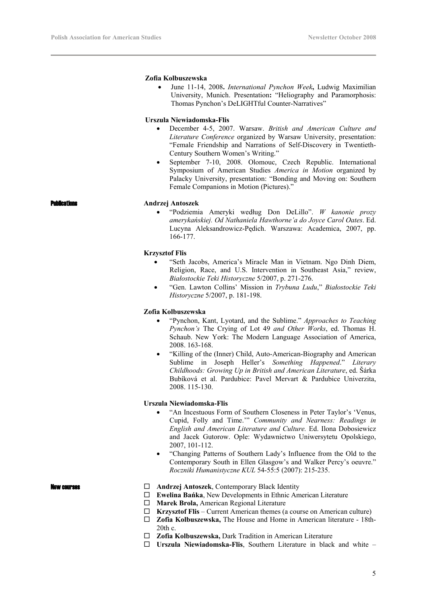## **Zofia Kolbuszewska**

• June 11-14, 2008**.** *International Pynchon Week***,** Ludwig Maximilian University, Munich. Presentation**:** "Heliography and Paramorphosis: Thomas Pynchon's DeLIGHTful Counter-Narratives"

# **Urszula Niewiadomska-Flis**

- December 4-5, 2007. Warsaw. *British and American Culture and Literature Conference* organized by Warsaw University, presentation: "Female Friendship and Narrations of Self-Discovery in Twentieth-Century Southern Women's Writing."
- September 7-10, 2008. Olomouc, Czech Republic. International Symposium of American Studies *America in Motion* organized by Palacky University, presentation: "Bonding and Moving on: Southern Female Companions in Motion (Pictures)."

# Publications **Andrzej Antoszek**

• "Podziemia Ameryki według Don DeLillo". *W kanonie prozy amerykańskiej. Od Nathaniela Hawthorne'a do Joyce Carol Oates*. Ed. Lucyna Aleksandrowicz-Pędich. Warszawa: Academica, 2007, pp. 166-177.

## **Krzysztof Flis**

- "Seth Jacobs, America's Miracle Man in Vietnam. Ngo Dinh Diem, Religion, Race, and U.S. Intervention in Southeast Asia," review, *Białostockie Teki Historyczne* 5/2007, p. 271-276.
- "Gen. Lawton Collins' Mission in *Trybuna Ludu*," *Białostockie Teki Historyczne* 5/2007, p. 181-198.

# **Zofia Kolbuszewska**

- "Pynchon, Kant, Lyotard, and the Sublime." *Approaches to Teaching Pynchon's* The Crying of Lot 49 *and Other Works*, ed. Thomas H. Schaub. New York: The Modern Language Association of America, 2008. 163-168.
- "Killing of the (Inner) Child, Auto-American-Biography and American Sublime in Joseph Heller's *Something Happened*." *Literary Childhoods: Growing Up in British and American Literature*, ed. Šárka Bubíková et al. Pardubice: Pavel Mervart & Pardubice Univerzita, 2008. 115-130.

# **Urszula Niewiadomska-Flis**

- "An Incestuous Form of Southern Closeness in Peter Taylor's 'Venus, Cupid, Folly and Time.'" *Community and Nearness: Readings in English and American Literature and Culture.* Ed. Ilona Dobosiewicz and Jacek Gutorow. Ople: Wydawnictwo Uniwersytetu Opolskiego, 2007, 101-112.
- "Changing Patterns of Southern Lady's Influence from the Old to the Contemporary South in Ellen Glasgow's and Walker Percy's oeuvre." *Roczniki Humanistyczne KUL* 54-55:5 (2007): 215-235.

- **New courses** 
<del></del><br> **Andrzej Antoszek**, Contemporary Black Identity
	- **Ewelina Bańka**, New Developments in Ethnic American Literature
	- **Marek Brola,** American Regional Literature
	- **Krzysztof Flis**  Current American themes (a course on American culture)
	- **Zofia Kolbuszewska,** The House and Home in American literature 18th- $20th$  c.
	- **Zofia Kolbuszewska,** Dark Tradition in American Literature
	- **Urszula Niewiadomska-Flis**, Southern Literature in black and white –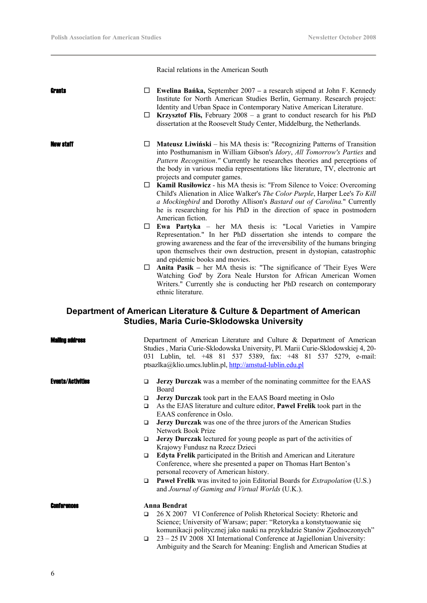Racial relations in the American South

| Grants                   |             | $\Box$ Ewelina Banka, September 2007 – a research stipend at John F. Kennedy<br>Institute for North American Studies Berlin, Germany. Research project:                                                                                                                                                                                           |
|--------------------------|-------------|---------------------------------------------------------------------------------------------------------------------------------------------------------------------------------------------------------------------------------------------------------------------------------------------------------------------------------------------------|
|                          |             | Identity and Urban Space in Contemporary Native American Literature.<br>$\Box$ Krzysztof Flis, February 2008 – a grant to conduct research for his PhD<br>dissertation at the Roosevelt Study Center, Middelburg, the Netherlands.                                                                                                                |
| iew staff                | ப           | Mateusz Liwiński – his MA thesis is: "Recognizing Patterns of Transition<br>into Posthumanism in William Gibson's Idory, All Tomorrow's Parties and<br>Pattern Recognition." Currently he researches theories and perceptions of<br>the body in various media representations like literature, TV, electronic art<br>projects and computer games. |
|                          | $\Box$      | <b>Kamil Rusilowicz</b> - his MA thesis is: "From Silence to Voice: Overcoming<br>Child's Alienation in Alice Walker's The Color Purple, Harper Lee's To Kill<br>a Mockingbird and Dorothy Allison's Bastard out of Carolina." Currently<br>he is researching for his PhD in the direction of space in postmodern<br>American fiction.            |
|                          | ш           | Ewa Partyka - her MA thesis is: "Local Varieties in Vampire<br>Representation." In her PhD dissertation she intends to compare the<br>growing awareness and the fear of the irreversibility of the humans bringing<br>upon themselves their own destruction, present in dystopian, catastrophic<br>and epidemic books and movies.                 |
|                          | ⊔           | Anita Pasik – her MA thesis is: "The significance of 'Their Eyes Were<br>Watching God' by Zora Neale Hurston for African American Women<br>Writers." Currently she is conducting her PhD research on contemporary<br>ethnic literature.                                                                                                           |
|                          |             | Department of American Literature & Culture & Department of American<br><b>Studies, Maria Curie-Sklodowska University</b>                                                                                                                                                                                                                         |
| amma angress             |             | Department of American Literature and Culture & Department of American<br>Studies, Maria Curie-Sklodowska University, Pl. Marii Curie-Sklodowskiej 4, 20-<br>031 Lublin, tel. +48 81 537 5389, fax: +48 81 537 5279, e-mail:<br>ptsazlka@klio.umcs.lublin.pl, http://amstud-lublin.edu.pl                                                         |
| <b>Events/Activities</b> | $\Box$      | Jerzy Durczak was a member of the nominating committee for the EAAS<br>Board                                                                                                                                                                                                                                                                      |
|                          | □<br>$\Box$ | Jerzy Durczak took part in the EAAS Board meeting in Oslo<br>As the EJAS literature and culture editor, <b>Pawel Frelik</b> took part in the<br>EAAS conference in Oslo.                                                                                                                                                                          |
|                          | ❏           | Jerzy Durczak was one of the three jurors of the American Studies<br>Network Book Prize                                                                                                                                                                                                                                                           |
|                          | □           | Jerzy Durczak lectured for young people as part of the activities of<br>Krajowy Fundusz na Rzecz Dzieci                                                                                                                                                                                                                                           |
|                          | □           | Edyta Frelik participated in the British and American and Literature<br>Conference, where she presented a paper on Thomas Hart Benton's<br>personal recovery of American history.                                                                                                                                                                 |
|                          | $\Box$      | Paweł Frelik was invited to join Editorial Boards for Extrapolation (U.S.)<br>and Journal of Gaming and Virtual Worlds (U.K.).                                                                                                                                                                                                                    |
| Conferences              |             | <b>Anna Bendrat</b>                                                                                                                                                                                                                                                                                                                               |
|                          | $\Box$      | 26 X 2007 VI Conference of Polish Rhetorical Society: Rhetoric and<br>Science; University of Warsaw; paper: "Retoryka a konstytuowanie się                                                                                                                                                                                                        |
|                          |             | komunikacji politycznej jako nauki na przykładzie Stanów Zjednoczonych"                                                                                                                                                                                                                                                                           |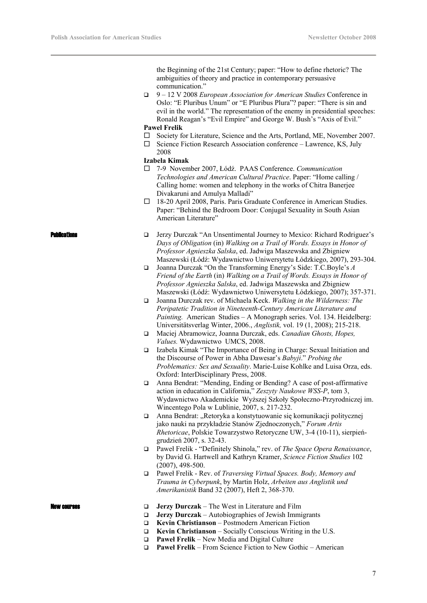the Beginning of the 21st Century; paper: "How to define rhetoric? The ambiguities of theory and practice in contemporary persuasive communication."

 9 – 12 V 2008 *European Association for American Studies* Conference in Oslo: "E Pluribus Unum" or "E Pluribus Plura"? paper: "There is sin and evil in the world." The representation of the enemy in presidential speeches: Ronald Reagan's "Evil Empire" and George W. Bush's "Axis of Evil."

# **Pawel Frelik**

- $\square$  Society for Literature, Science and the Arts, Portland, ME, November 2007.
- $\square$  Science Fiction Research Association conference Lawrence, KS, July 2008

# **Izabela Kimak**

- 7-9 November 2007, Łódź. PAAS Conference. *Communication Technologies and American Cultural Practice*. Paper: "Home calling / Calling home: women and telephony in the works of Chitra Banerjee Divakaruni and Amulya Malladi"
- 18-20 April 2008, Paris. Paris Graduate Conference in American Studies. Paper: "Behind the Bedroom Door: Conjugal Sexuality in South Asian American Literature"

- **Publications**  $\Box$  Jerzy Durczak "An Unsentimental Journey to Mexico: Richard Rodriguez's *Days of Obligation* (in) *Walking on a Trail of Words. Essays in Honor of Professor Agnieszka Salska*, ed. Jadwiga Maszewska and Zbigniew Maszewski (Łódź: Wydawnictwo Uniwersytetu Łódzkiego, 2007), 293-304.
	- Joanna Durczak "On the Transforming Energy's Side: T.C.Boyle's *A Friend of the Earth* (in) *Walking on a Trail of Words. Essays in Honor of Professor Agnieszka Salska*, ed. Jadwiga Maszewska and Zbigniew Maszewski (Łódź: Wydawnictwo Uniwersytetu Łódzkiego, 2007); 357-371.
	- Joanna Durczak rev. of Michaela Keck. *Walking in the Wilderness: The Peripatetic Tradition in Nineteenth-Century American Literature and Painting.* American Studies – A Monograph series. Vol. 134. Heidelberg: Universitätsverlag Winter, 2006., *Anglistik,* vol. 19 (1, 2008); 215-218.
	- Maciej Abramowicz, Joanna Durczak, eds. *Canadian Ghosts, Hopes, Values.* Wydawnictwo UMCS, 2008.
	- Izabela Kimak "The Importance of Being in Charge: Sexual Initiation and the Discourse of Power in Abha Dawesar's *Babyji*." *Probing the Problematics: Sex and Sexuality*. Marie-Luise Kohlke and Luisa Orza, eds. Oxford: InterDisciplinary Press, 2008.
	- Anna Bendrat: "Mending, Ending or Bending? A case of post-affirmative action in education in California," *Zeszyty Naukowe WSS-P*, tom 3, Wydawnictwo Akademickie Wyższej Szkoły Społeczno-Przyrodniczej im. Wincentego Pola w Lublinie, 2007, s. 217-232.
	- $\Box$  Anna Bendrat: "Retoryka a konstytuowanie się komunikacji politycznej jako nauki na przykładzie Stanów Zjednoczonych," *Forum Artis Rhetoricae*, Polskie Towarzystwo Retoryczne UW, 3-4 (10-11), sierpieńgrudzień 2007, s. 32-43.
	- Paweł Frelik "Definitely Shinola," rev. of *The Space Opera Renaissance*, by David G. Hartwell and Kathryn Kramer, *Science Fiction Studies* 102 (2007), 498-500.
	- Paweł Frelik Rev. of *Traversing Virtual Spaces. Body, Memory and Trauma in Cyberpunk*, by Martin Holz, *Arbeiten aus Anglistik und Amerikanistik* Band 32 (2007), Heft 2, 368-370.

- **New courses Courses** *Jerzy Durczak The West in Literature and Film* 
	- **Jerzy Durczak** Autobiographies of Jewish Immigrants
	- **Kevin Christianson**  Postmodern American Fiction
	- **Kevin Christianson**  Socially Conscious Writing in the U.S.
	- **Paweł Frelik** New Media and Digital Culture
	- **Paweł Frelik** From Science Fiction to New Gothic American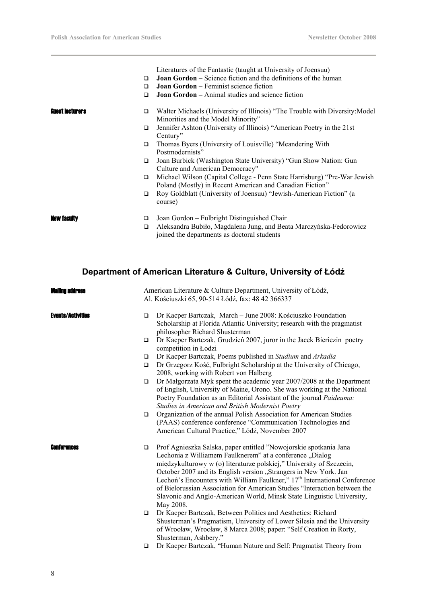|                        |             | Literatures of the Fantastic (taught at University of Joensuu)                                                                                                   |
|------------------------|-------------|------------------------------------------------------------------------------------------------------------------------------------------------------------------|
|                        | $\Box$      | <b>Joan Gordon</b> – Science fiction and the definitions of the human                                                                                            |
|                        | □           | <b>Joan Gordon</b> – Feminist science fiction                                                                                                                    |
|                        | □           | <b>Joan Gordon</b> – Animal studies and science fiction                                                                                                          |
| <b>Guest lecturers</b> | $\Box$      | Walter Michaels (University of Illinois) "The Trouble with Diversity: Model<br>Minorities and the Model Minority"                                                |
|                        | $\Box$      | Jennifer Ashton (University of Illinois) "American Poetry in the 21st<br>Century"                                                                                |
|                        | $\Box$      | Thomas Byers (University of Louisville) "Meandering With<br>Postmodernists"                                                                                      |
|                        | $\Box$      | Joan Burbick (Washington State University) "Gun Show Nation: Gun<br>Culture and American Democracy"                                                              |
|                        | $\Box$      | Michael Wilson (Capital College - Penn State Harrisburg) "Pre-War Jewish"<br>Poland (Mostly) in Recent American and Canadian Fiction"                            |
|                        | $\Box$      | Roy Goldblatt (University of Joensuu) "Jewish-American Fiction" (a<br>course)                                                                                    |
| <b>New faculty</b>     | ▫<br>$\Box$ | Joan Gordon – Fulbright Distinguished Chair<br>Aleksandra Bubiło, Magdalena Jung, and Beata Marczyńska-Fedorowicz<br>joined the departments as doctoral students |

# **Department of American Literature & Culture, University of Łódź**

| <b>Malling address</b>   | American Literature & Culture Department, University of Łódź,<br>Al. Kościuszki 65, 90-514 Łódź, fax: 48 42 366337                                                                                                                                                                                                                                                                                                                                                                                                                              |
|--------------------------|-------------------------------------------------------------------------------------------------------------------------------------------------------------------------------------------------------------------------------------------------------------------------------------------------------------------------------------------------------------------------------------------------------------------------------------------------------------------------------------------------------------------------------------------------|
| <b>Events/Activities</b> | Dr Kacper Bartczak, March – June 2008: Kościuszko Foundation<br>$\Box$<br>Scholarship at Florida Atlantic University; research with the pragmatist<br>philosopher Richard Shusterman                                                                                                                                                                                                                                                                                                                                                            |
|                          | Dr Kacper Bartczak, Grudzień 2007, juror in the Jacek Bieriezin poetry<br>$\Box$<br>competition in Łodzi                                                                                                                                                                                                                                                                                                                                                                                                                                        |
|                          | Dr Kacper Bartczak, Poems published in Studium and Arkadia<br>$\Box$                                                                                                                                                                                                                                                                                                                                                                                                                                                                            |
|                          | Dr Grzegorz Kość, Fulbright Scholarship at the University of Chicago,<br>$\Box$<br>2008, working with Robert von Halberg                                                                                                                                                                                                                                                                                                                                                                                                                        |
|                          | Dr Małgorzata Myk spent the academic year 2007/2008 at the Department<br>$\Box$<br>of English, University of Maine, Orono. She was working at the National<br>Poetry Foundation as an Editorial Assistant of the journal Paideuma:<br>Studies in American and British Modernist Poetry                                                                                                                                                                                                                                                          |
|                          | Organization of the annual Polish Association for American Studies<br>$\Box$<br>(PAAS) conference conference "Communication Technologies and<br>American Cultural Practice," Łódź, November 2007                                                                                                                                                                                                                                                                                                                                                |
| <b>Conterences</b>       | Prof Agnieszka Salska, paper entitled "Nowojorskie spotkania Jana<br>$\Box$<br>Lechonia z Williamem Faulknerem" at a conference "Dialog<br>międzykulturowy w (o) literaturze polskiej," University of Szczecin,<br>October 2007 and its English version "Strangers in New York. Jan<br>Lechoń's Encounters with William Faulkner," 17 <sup>th</sup> International Conference<br>of Bielorussian Association for American Studies "Interaction between the<br>Slavonic and Anglo-American World, Minsk State Linguistic University,<br>May 2008. |
|                          | Dr Kacper Bartczak, Between Politics and Aesthetics: Richard<br>$\Box$<br>Shusterman's Pragmatism, University of Lower Silesia and the University<br>of Wrocław, Wrocław, 8 Marca 2008; paper: "Self Creation in Rorty,<br>Shusterman, Ashbery."                                                                                                                                                                                                                                                                                                |
|                          | Dr Kacper Bartczak, "Human Nature and Self: Pragmatist Theory from<br>□                                                                                                                                                                                                                                                                                                                                                                                                                                                                         |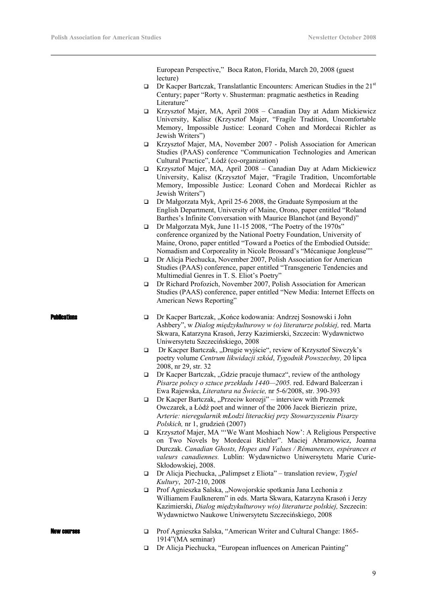European Perspective," Boca Raton, Florida, March 20, 2008 (guest lecture)

- **Dr Kacper Bartczak, Translatlantic Encounters: American Studies in the 21st** Century; paper "Rorty v. Shusterman: pragmatic aesthetics in Reading Literature"
- Krzysztof Majer, MA, April 2008 Canadian Day at Adam Mickiewicz University, Kalisz (Krzysztof Majer, "Fragile Tradition, Uncomfortable Memory, Impossible Justice: Leonard Cohen and Mordecai Richler as Jewish Writers")
- Krzysztof Majer, MA, November 2007 Polish Association for American Studies (PAAS) conference "Communication Technologies and American Cultural Practice", Łódź (co-organization)
- Krzysztof Majer, MA, April 2008 Canadian Day at Adam Mickiewicz University, Kalisz (Krzysztof Majer, "Fragile Tradition, Uncomfortable Memory, Impossible Justice: Leonard Cohen and Mordecai Richler as Jewish Writers")
- Dr Małgorzata Myk, April 25-6 2008, the Graduate Symposium at the English Department, University of Maine, Orono, paper entitled "Roland Barthes's Infinite Conversation with Maurice Blanchot (and Beyond)"
- Dr Małgorzata Myk, June 11-15 2008, "The Poetry of the 1970s" conference organized by the National Poetry Foundation, University of Maine, Orono, paper entitled "Toward a Poetics of the Embodied Outside: Nomadism and Corporeality in Nicole Brossard's "Mécanique Jongleuse""
- Dr Alicja Piechucka, November 2007, Polish Association for American Studies (PAAS) conference, paper entitled "Transgeneric Tendencies and Multimedial Genres in T. S. Eliot's Poetry"
- Dr Richard Profozich, November 2007, Polish Association for American Studies (PAAS) conference, paper entitled "New Media: Internet Effects on American News Reporting"
- 
- **Publications Dr Kacper Bartczak, "Końce kodowania: Andrzej Sosnowski i John** Ashbery", w *Dialog międzykulturowy w (o) literaturze polskiej,* red. Marta Skwara, Katarzyna Krasoń, Jerzy Kazimierski, Szczecin: Wydawnictwo Uniwersytetu Szczecińskiego, 2008
	- $\Box$  Dr Kacper Bartczak, "Drugie wyjście", review of Krzysztof Siwczyk's poetry volume *Centrum likwidacji szkód*, *Tygodnik Powszechny,* 20 lipca 2008, nr 29, str. 32
	- $\Box$  Dr Kacper Bartczak, "Gdzie pracuje tłumacz", review of the anthology *Pisarze polscy o sztuce przekładu 1440—2005.* red. Edward Balcerzan i Ewa Rajewska, *Literatura na Świecie,* nr 5-6/2008, str. 390-393
	- $\Box$  Dr Kacper Bartczak, "Przeciw korozji" interview with Przemek Owczarek, a Łódź poet and winner of the 2006 Jacek Bieriezin prize, A*rterie: nieregularnik mŁodzi literackiej przy Stowarzyszeniu Pisarzy Polskich,* nr 1, grudzień (2007)
	- Krzysztof Majer, MA "'We Want Moshiach Now': A Religious Perspective on Two Novels by Mordecai Richler". Maciej Abramowicz, Joanna Durczak. *Canadian Ghosts, Hopes and Values / Rémanences, espérances et valeurs canadiennes.* Lublin: Wydawnictwo Uniwersytetu Marie Curie-Skłodowskiej, 2008.
	- □ Dr Alicja Piechucka, "Palimpset z Eliota" translation review, *Tygiel Kultury*, 207-210, 2008
	- $\Box$  Prof Agnieszka Salska, "Nowojorskie spotkania Jana Lechonia z Williamem Faulknerem" in eds. Marta Skwara, Katarzyna Krasoń i Jerzy Kazimierski, *Dialog międzykulturowy w(o) literaturze polskiej,* Szczecin: Wydawnictwo Naukowe Uniwersytetu Szczecińskiego, 2008

- New courses Prof Agnieszka Salska, "American Writer and Cultural Change: 1865- 1914"(MA seminar)
	- Dr Alicja Piechucka, "European influences on American Painting"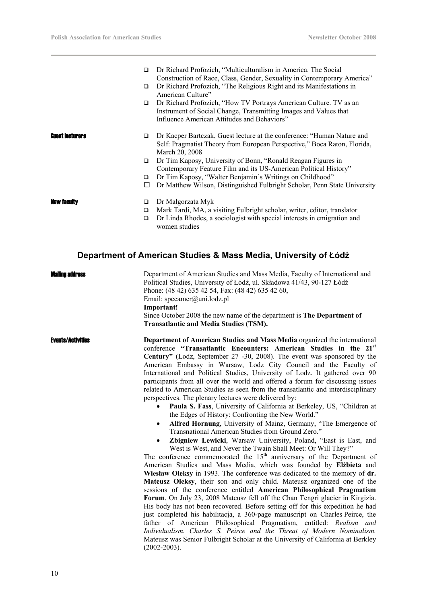| $\Box$                      | Dr Richard Profozich, "Multiculturalism in America. The Social<br>Construction of Race, Class, Gender, Sexuality in Contemporary America"                                            |
|-----------------------------|--------------------------------------------------------------------------------------------------------------------------------------------------------------------------------------|
| □                           | Dr Richard Profozich, "The Religious Right and its Manifestations in<br>American Culture"                                                                                            |
| □                           | Dr Richard Profozich, "How TV Portrays American Culture. TV as an<br>Instrument of Social Change, Transmitting Images and Values that<br>Influence American Attitudes and Behaviors" |
| <b>Guest lecturers</b><br>□ | Dr Kacper Bartczak, Guest lecture at the conference: "Human Nature and<br>Self: Pragmatist Theory from European Perspective," Boca Raton, Florida,<br>March 20, 2008                 |
| $\Box$                      | Dr Tim Kaposy, University of Bonn, "Ronald Reagan Figures in<br>Contemporary Feature Film and its US-American Political History"                                                     |
| □                           | Dr Tim Kaposy, "Walter Benjamin's Writings on Childhood"                                                                                                                             |
| □                           | Dr Matthew Wilson, Distinguished Fulbright Scholar, Penn State University                                                                                                            |
| <b>New faculty</b><br>□     | Dr Małgorzata Myk                                                                                                                                                                    |
| □                           | Mark Tardi, MA, a visiting Fulbright scholar, writer, editor, translator                                                                                                             |
| $\Box$                      | Dr Linda Rhodes, a sociologist with special interests in emigration and<br>women studies                                                                                             |

# **Department of American Studies & Mass Media, University of Łódź**

| Mailinn address          | Department of American Studies and Mass Media, Faculty of International and<br>Political Studies, University of Łódź, ul. Składowa 41/43, 90-127 Łódź<br>Phone: (48 42) 635 42 54, Fax: (48 42) 635 42 60,<br>Email: specamer@uni.lodz.pl<br>Important!<br>Since October 2008 the new name of the department is The Department of<br><b>Transatlantic and Media Studies (TSM).</b>                                                                                                                                                                                                                                                                                                                                                                                                                                                                                                                                                                                                                                                                                                                                                                                                                                                                                                                                                                                                                                                                                                                                                                                                                                                                                                                                                                                                                                                                                                                                                      |
|--------------------------|-----------------------------------------------------------------------------------------------------------------------------------------------------------------------------------------------------------------------------------------------------------------------------------------------------------------------------------------------------------------------------------------------------------------------------------------------------------------------------------------------------------------------------------------------------------------------------------------------------------------------------------------------------------------------------------------------------------------------------------------------------------------------------------------------------------------------------------------------------------------------------------------------------------------------------------------------------------------------------------------------------------------------------------------------------------------------------------------------------------------------------------------------------------------------------------------------------------------------------------------------------------------------------------------------------------------------------------------------------------------------------------------------------------------------------------------------------------------------------------------------------------------------------------------------------------------------------------------------------------------------------------------------------------------------------------------------------------------------------------------------------------------------------------------------------------------------------------------------------------------------------------------------------------------------------------------|
| <b>Events/Activities</b> | Department of American Studies and Mass Media organized the international<br>conference "Transatlantic Encounters: American Studies in the 21 <sup>st</sup><br>Century" (Lodz, September 27 -30, 2008). The event was sponsored by the<br>American Embassy in Warsaw, Lodz City Council and the Faculty of<br>International and Political Studies, University of Lodz. It gathered over 90<br>participants from all over the world and offered a forum for discussing issues<br>related to American Studies as seen from the transatlantic and interdisciplinary<br>perspectives. The plenary lectures were delivered by:<br>Paula S. Fass, University of California at Berkeley, US, "Children at<br>$\bullet$<br>the Edges of History: Confronting the New World."<br>Alfred Hornung, University of Mainz, Germany, "The Emergence of<br>Transnational American Studies from Ground Zero."<br>Zbigniew Lewicki, Warsaw University, Poland, "East is East, and<br>$\bullet$<br>West is West, and Never the Twain Shall Meet: Or Will They?"<br>The conference commemorated the $15th$ anniversary of the Department of<br>American Studies and Mass Media, which was founded by Elibieta and<br>Wiesław Oleksy in 1993. The conference was dedicated to the memory of dr.<br>Mateusz Oleksy, their son and only child. Mateusz organized one of the<br>sessions of the conference entitled American Philosophical Pragmatism<br>Forum. On July 23, 2008 Mateusz fell off the Chan Tengri glacier in Kirgizia.<br>His body has not been recovered. Before setting off for this expedition he had<br>just completed his habilitacja, a 360-page manuscript on Charles Peirce, the<br>father of American Philosophical Pragmatism, entitled: Realism and<br>Individualism. Charles S. Peirce and the Threat of Modern Nominalism.<br>Mateusz was Senior Fulbright Scholar at the University of California at Berkley<br>$(2002 - 2003)$ . |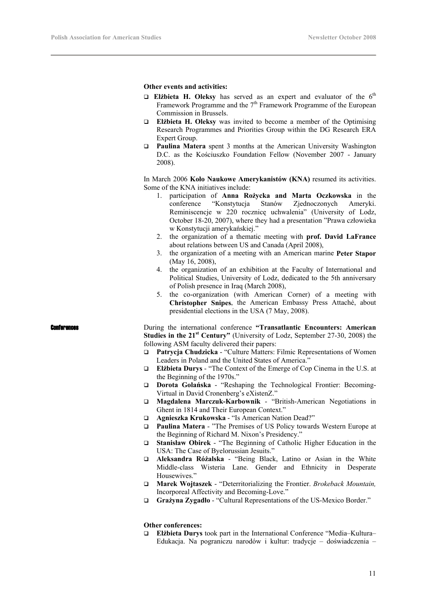# **Other events and activities:**

- **Elżbieta H. Oleksy** has served as an expert and evaluator of the  $6<sup>th</sup>$ Framework Programme and the  $7<sup>th</sup>$  Framework Programme of the European Commission in Brussels.
- **Elżbieta H. Oleksy** was invited to become a member of the Optimising Research Programmes and Priorities Group within the DG Research ERA Expert Group.
- **Paulina Matera** spent 3 months at the American University Washington D.C. as the Kościuszko Foundation Fellow (November 2007 - January 2008).

In March 2006 **Koło Naukowe Amerykanistów (KNA)** resumed its activities. Some of the KNA initiatives include:

- 1. participation of **Anna Rożycka and Marta Oczkowska** in the conference "Konstytucja Stanów Zjednoczonych Ameryki. Reminiscencje w 220 rocznicę uchwalenia" (University of Lodz, October 18-20, 2007), where they had a presentation "Prawa człowieka w Konstytucji amerykańskiej."
- 2. the organization of a thematic meeting with **prof. David LaFrance** about relations between US and Canada (April 2008),
- 3. the organization of a meeting with an American marine **Peter Stapor** (May 16, 2008),
- 4. the organization of an exhibition at the Faculty of International and Political Studies, University of Lodz, dedicated to the 5th anniversary of Polish presence in Iraq (March 2008),
- 5. the co-organization (with American Corner) of a meeting with **Christopher Snipes**, the American Embassy Press Attaché, about presidential elections in the USA (7 May, 2008).

**Conferences Example 20** During the international conference **"Transatlantic Encounters: American Studies in the 21st Century"** (University of Lodz, September 27-30, 2008) the following ASM faculty delivered their papers:

- **Patrycja Chudzicka** "Culture Matters: Filmic Representations of Women Leaders in Poland and the United States of America."
- **Elżbieta Durys** "The Context of the Emerge of Cop Cinema in the U.S. at the Beginning of the 1970s."
- **Dorota Golańska** "Reshaping the Technological Frontier: Becoming-Virtual in David Cronenberg's eXistenZ."
- **Magdalena Marczuk-Karbownik**  "British-American Negotiations in Ghent in 1814 and Their European Context."
- **Agnieszka Krukowska**  "Is American Nation Dead?"
- **Paulina Matera** "The Premises of US Policy towards Western Europe at the Beginning of Richard M. Nixon's Presidency."
- **Stanisław Obirek**  "The Beginning of Catholic Higher Education in the USA: The Case of Byelorussian Jesuits."
- **Aleksandra Różalska** "Being Black, Latino or Asian in the White Middle-class Wisteria Lane. Gender and Ethnicity in Desperate Housewives."
- **Marek Wojtaszek**  "Deterritorializing the Frontier. *Brokeback Mountain,*  Incorporeal Affectivity and Becoming-Love."
- **Grażyna Zygadło**  "Cultural Representations of the US-Mexico Border."

# **Other conferences:**

 **Elżbieta Durys** took part in the International Conference "Media–Kultura– Edukacja. Na pograniczu narodów i kultur: tradycje – doświadczenia –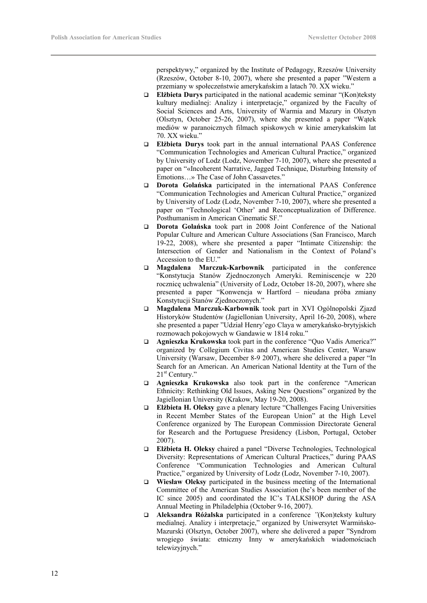perspektywy," organized by the Institute of Pedagogy, Rzeszów University (Rzeszów, October 8-10, 2007), where she presented a paper "Western a przemiany w społeczeństwie amerykańskim a latach 70. XX wieku."

- **Elżbieta Durys** participated in the national academic seminar "(Kon)teksty kultury medialnej: Analizy i interpretacje," organized by the Faculty of Social Sciences and Arts, University of Warmia and Mazury in Olsztyn (Olsztyn, October 25-26, 2007), where she presented a paper "Wątek mediów w paranoicznych filmach spiskowych w kinie amerykańskim lat 70. XX wieku."
- **Elżbieta Durys** took part in the annual international PAAS Conference "Communication Technologies and American Cultural Practice," organized by University of Lodz (Lodz, November 7-10, 2007), where she presented a paper on "«Incoherent Narrative, Jagged Technique, Disturbing Intensity of Emotions…» The Case of John Cassavetes."
- **Dorota Golańska** participated in the international PAAS Conference "Communication Technologies and American Cultural Practice," organized by University of Lodz (Lodz, November 7-10, 2007), where she presented a paper on "Technological 'Other' and Reconceptualization of Difference. Posthumanism in American Cinematic SF."
- **Dorota Golańska** took part in 2008 Joint Conference of the National Popular Culture and American Culture Associations (San Francisco, March 19-22, 2008), where she presented a paper "Intimate Citizenship: the Intersection of Gender and Nationalism in the Context of Poland's Accession to the EU."
- **Magdalena Marczuk-Karbownik** participated in the conference "Konstytucja Stanów Zjednoczonych Ameryki. Reminiscencje w 220 rocznicę uchwalenia" (University of Lodz, October 18-20, 2007), where she presented a paper "Konwencja w Hartford – nieudana próba zmiany Konstytucji Stanów Zjednoczonych."
- **Magdalena Marczuk-Karbownik** took part in XVI Ogólnopolski Zjazd Historyków Studentów (Jagiellonian University, April 16-20, 2008), where she presented a paper "Udział Henry'ego Claya w amerykańsko-brytyjskich rozmowach pokojowych w Gandawie w 1814 roku."
- **Agnieszka Krukowska** took part in the conference "Quo Vadis America?" organized by Collegium Civitas and American Studies Center, Warsaw University (Warsaw, December 8-9 2007), where she delivered a paper "In Search for an American. An American National Identity at the Turn of the 21<sup>st</sup> Century."
- **Agnieszka Krukowska** also took part in the conference "American Ethnicity: Rethinking Old Issues, Asking New Questions" organized by the Jagiellonian University (Krakow, May 19-20, 2008).
- **Elżbieta H. Oleksy** gave a plenary lecture "Challenges Facing Universities in Recent Member States of the European Union" at the High Level Conference organized by The European Commission Directorate General for Research and the Portuguese Presidency (Lisbon, Portugal, October 2007).
- **Elżbieta H. Oleksy** chaired a panel "Diverse Technologies, Technological Diversity: Representations of American Cultural Practices," during PAAS Conference "Communication Technologies and American Cultural Practice," organized by University of Lodz (Lodz, November 7-10, 2007).
- **Wiesław Oleksy** participated in the business meeting of the International Committee of the American Studies Association (he's been member of the IC since 2005) and coordinated the IC's TALKSHOP during the ASA Annual Meeting in Philadelphia (October 9-16, 2007).
- **Aleksandra Różalska** participated in a conference *"*(Kon)teksty kultury medialnej. Analizy i interpretacje," organized by Uniwersytet Warmińsko-Mazurski (Olsztyn, October 2007), where she delivered a paper "Syndrom wrogiego świata: etniczny Inny w amerykańskich wiadomościach telewizyjnych."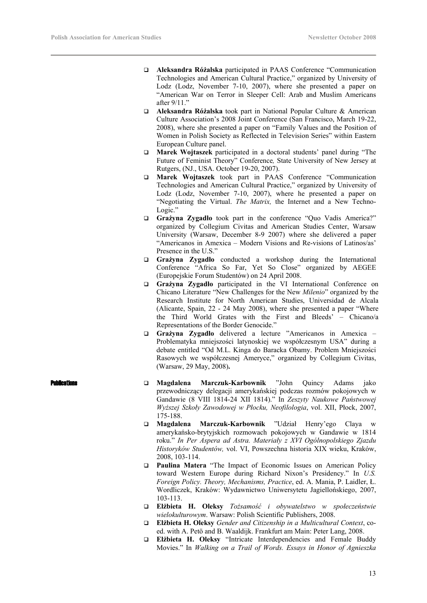- **Aleksandra Różalska** participated in PAAS Conference "Communication Technologies and American Cultural Practice," organized by University of Lodz (Lodz, November 7-10, 2007), where she presented a paper on "American War on Terror in Sleeper Cell: Arab and Muslim Americans after 9/11."
- **Aleksandra Różalska** took part in National Popular Culture & American Culture Association's 2008 Joint Conference (San Francisco, March 19-22, 2008), where she presented a paper on "Family Values and the Position of Women in Polish Society as Reflected in Television Series" within Eastern European Culture panel.
- **Marek Wojtaszek** participated in a doctoral students' panel during "The Future of Feminist Theory" Conference*,* State University of New Jersey at Rutgers, (NJ., USA. October 19-20, 2007).
- **Marek Wojtaszek** took part in PAAS Conference "Communication Technologies and American Cultural Practice," organized by University of Lodz (Lodz, November 7-10, 2007), where he presented a paper on "Negotiating the Virtual. *The Matrix,* the Internet and a New Techno-Logic."
- **Grażyna Zygadło** took part in the conference "Quo Vadis America?" organized by Collegium Civitas and American Studies Center, Warsaw University (Warsaw, December 8-9 2007) where she delivered a paper "Americanos in Amexica – Modern Visions and Re-visions of Latinos/as' Presence in the U.S."
- **Grażyna Zygadło** conducted a workshop during the International Conference "Africa So Far, Yet So Close" organized by AEGEE (Europejskie Forum Studentów) on 24 April 2008.
- **Grażyna Zygadło** participated in the VI International Conference on Chicano Literature "New Challenges for the New *Milenio*" organized by the Research Institute for North American Studies, Universidad de Alcala (Alicante, Spain, 22 - 24 May 2008), where she presented a paper "Where the Third World Grates with the First and Bleeds' – Chicano/a Representations of the Border Genocide."
- **Grażyna Zygadło** delivered a lecture "Americanos in Amexica Problematyka mniejszości latynoskiej we współczesnym USA" during a debate entitled "Od M.L. Kinga do Baracka Obamy. Problem Mniejszości Rasowych we współczesnej Ameryce," organized by Collegium Civitas, (Warsaw, 29 May, 2008)**.**
- Publications **Magdalena Marczuk-Karbownik** "John Quincy Adams jako przewodniczący delegacji amerykańskiej podczas rozmów pokojowych w Gandawie (8 VIII 1814-24 XII 1814)." In *Zeszyty Naukowe Państwowej Wyższej Szkoły Zawodowej w Płocku, Neofilologia*, vol. XII, Płock, 2007, 175-188.
	- **Magdalena Marczuk-Karbownik** "Udział Henry'ego Claya w amerykańsko-brytyjskich rozmowach pokojowych w Gandawie w 1814 roku." *In Per Aspera ad Astra. Materiały z XVI Ogólnopolskiego Zjazdu Historyków Studentów,* vol. VI, Powszechna historia XIX wieku, Kraków, 2008, 103-114.
	- **Paulina Matera** "The Impact of Economic Issues on American Policy toward Western Europe during Richard Nixon's Presidency." In *U.S. Foreign Policy. Theory, Mechanisms, Practice*, ed. A. Mania, P. Laidler, Ł. Wordliczek, Kraków: Wydawnictwo Uniwersytetu Jagiellońskiego, 2007, 103-113.
	- **Elżbieta H. Oleksy** *Tożsamość i obywatelstwo w społeczeństwie wielokulturowym*. Warsaw: Polish Scientific Publishers, 2008.
	- **Elżbieta H. Oleksy** *Gender and Citizenship in a Multicultural Context*, coed. with A. Petö and B. Waaldijk. Frankfurt am Main: Peter Lang, 2008.
	- **Elżbieta H. Oleksy** "Intricate Interdependencies and Female Buddy Movies." In *Walking on a Trail of Words. Essays in Honor of Agnieszka*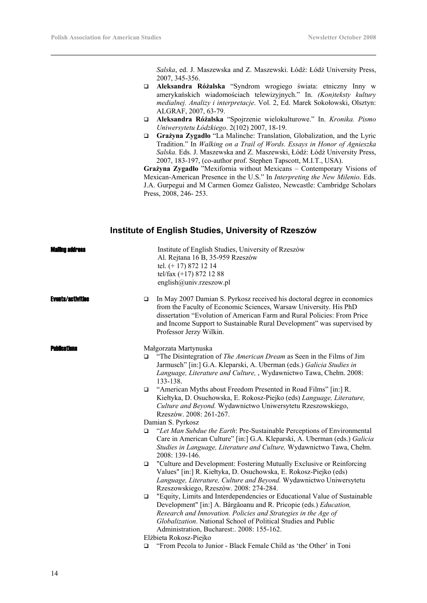*Salska*, ed. J. Maszewska and Z. Maszewski. Łódź: Łódź University Press, 2007, 345-356.

- **Aleksandra Różalska** "Syndrom wrogiego świata: etniczny Inny w amerykańskich wiadomościach telewizyjnych." In. *(Kon)teksty kultury medialnej. Analizy i interpretacje*. Vol. 2, Ed. Marek Sokołowski, Olsztyn: ALGRAF, 2007, 63-79.
- **Aleksandra Różalska** "Spojrzenie wielokulturowe." In. *Kronika. Pismo Uniwersytetu Łódzkiego*. 2(102) 2007, 18-19.
- **Grażyna Zygadło** "La Malinche: Translation, Globalization, and the Lyric Tradition." In *Walking on a Trail of Words. Essays in Honor of Agnieszka Salska.* Eds. J. Maszewska and Z. Maszewski, Łódź: Łódź University Press, 2007, 183-197, (co-author prof. Stephen Tapscott, M.I.T., USA).

**Grażyna Zygadło** "Mexifornia without Mexicans – Contemporary Visions of Mexican-American Presence in the U.S." In *Interpreting the New Milenio*. Eds. J.A. Gurpegui and M Carmen Gomez Galisteo, Newcastle: Cambridge Scholars Press, 2008, 246-253.

# **Institute of English Studies, University of Rzeszów**

| Mailinn annrass          |                   | Institute of English Studies, University of Rzeszów<br>Al. Rejtana 16 B, 35-959 Rzeszów<br>tel. (+ 17) 872 12 14<br>tel/fax $(+17)$ 872 12 88<br>english@univ.rzeszow.pl                                                                                                                                                               |  |
|--------------------------|-------------------|----------------------------------------------------------------------------------------------------------------------------------------------------------------------------------------------------------------------------------------------------------------------------------------------------------------------------------------|--|
| <b>Events/activities</b> | □                 | In May 2007 Damian S. Pyrkosz received his doctoral degree in economics<br>from the Faculty of Economic Sciences, Warsaw University. His PhD<br>dissertation "Evolution of American Farm and Rural Policies: From Price<br>and Income Support to Sustainable Rural Development" was supervised by<br>Professor Jerzy Wilkin.           |  |
| <b>Publications</b>      |                   | Małgorzata Martynuska                                                                                                                                                                                                                                                                                                                  |  |
|                          | $\Box$            | "The Disintegration of The American Dream as Seen in the Films of Jim<br>Jarmusch" [in:] G.A. Kleparski, A. Uberman (eds.) Galicia Studies in<br>Language, Literature and Culture, , Wydawnictwo Tawa, Chełm. 2008:<br>133-138.                                                                                                        |  |
|                          | $\Box$            | "American Myths about Freedom Presented in Road Films" [in:] R.<br>Kiełtyka, D. Osuchowska, E. Rokosz-Piejko (eds) Language, Literature,<br>Culture and Beyond. Wydawnictwo Uniwersytetu Rzeszowskiego,<br>Rzeszów. 2008: 261-267.                                                                                                     |  |
|                          | Damian S. Pyrkosz |                                                                                                                                                                                                                                                                                                                                        |  |
|                          | $\Box$            | "Let Man Subdue the Earth: Pre-Sustainable Perceptions of Environmental<br>Care in American Culture" [in:] G.A. Kleparski, A. Uberman (eds.) Galicia<br>Studies in Language, Literature and Culture, Wydawnictwo Tawa, Chełm.<br>2008: 139-146.                                                                                        |  |
|                          | $\Box$            | "Culture and Development: Fostering Mutually Exclusive or Reinforcing<br>Values" [in:] R. Kiełtyka, D. Osuchowska, E. Rokosz-Piejko (eds)<br>Language, Literature, Culture and Beyond. Wydawnictwo Uniwersytetu<br>Rzeszowskiego, Rzeszów. 2008: 274-284.                                                                              |  |
|                          | $\Box$            | "Equity, Limits and Interdependencies or Educational Value of Sustainable<br>Development" [in:] A. Bârgăoanu and R. Pricopie (eds.) Education,<br>Research and Innovation. Policies and Strategies in the Age of<br><i>Globalization.</i> National School of Political Studies and Public<br>Administration, Bucharest: 2008: 155-162. |  |
|                          |                   | Elżbieta Rokosz-Piejko                                                                                                                                                                                                                                                                                                                 |  |
|                          | □                 | "From Pecola to Junior - Black Female Child as 'the Other' in Toni                                                                                                                                                                                                                                                                     |  |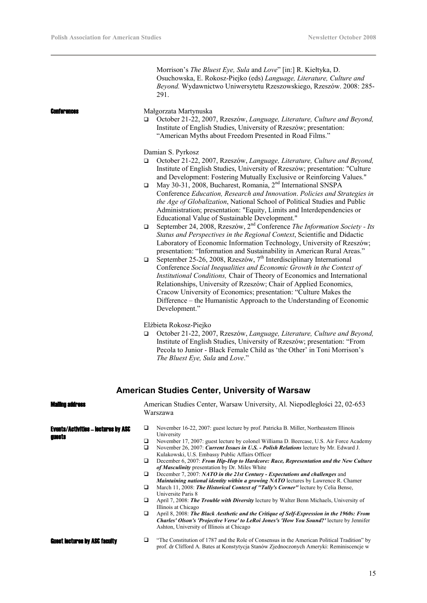|                                                      |                                                     | Morrison's <i>The Bluest Eye, Sula</i> and <i>Love</i> " [in:] R. Kiełtyka, D.<br>Osuchowska, E. Rokosz-Piejko (eds) Language, Literature, Culture and<br>Beyond. Wydawnictwo Uniwersytetu Rzeszowskiego, Rzeszów. 2008: 285-<br>291.                                                                                                                                                                                                                                                                                                                                                                                                                                                                                                                                                                                                                                                                                                                                                                                                                                                                                                                                                                                                                                                                                                                                                                                                                                                                                                                                                                                                                                                                                     |
|------------------------------------------------------|-----------------------------------------------------|---------------------------------------------------------------------------------------------------------------------------------------------------------------------------------------------------------------------------------------------------------------------------------------------------------------------------------------------------------------------------------------------------------------------------------------------------------------------------------------------------------------------------------------------------------------------------------------------------------------------------------------------------------------------------------------------------------------------------------------------------------------------------------------------------------------------------------------------------------------------------------------------------------------------------------------------------------------------------------------------------------------------------------------------------------------------------------------------------------------------------------------------------------------------------------------------------------------------------------------------------------------------------------------------------------------------------------------------------------------------------------------------------------------------------------------------------------------------------------------------------------------------------------------------------------------------------------------------------------------------------------------------------------------------------------------------------------------------------|
| Conferences                                          | □                                                   | Małgorzata Martynuska<br>October 21-22, 2007, Rzeszów, Language, Literature, Culture and Beyond,<br>Institute of English Studies, University of Rzeszów; presentation:<br>"American Myths about Freedom Presented in Road Films."                                                                                                                                                                                                                                                                                                                                                                                                                                                                                                                                                                                                                                                                                                                                                                                                                                                                                                                                                                                                                                                                                                                                                                                                                                                                                                                                                                                                                                                                                         |
|                                                      | $\Box$<br>$\Box$<br>$\Box$<br>$\Box$<br>$\Box$      | Damian S. Pyrkosz<br>October 21-22, 2007, Rzeszów, Language, Literature, Culture and Beyond,<br>Institute of English Studies, University of Rzeszów; presentation: "Culture"<br>and Development: Fostering Mutually Exclusive or Reinforcing Values."<br>May 30-31, 2008, Bucharest, Romania, 2 <sup>nd</sup> International SNSPA<br>Conference Education, Research and Innovation. Policies and Strategies in<br>the Age of Globalization, National School of Political Studies and Public<br>Administration; presentation: "Equity, Limits and Interdependencies or<br>Educational Value of Sustainable Development."<br>September 24, 2008, Rzeszów, 2 <sup>nd</sup> Conference The Information Society - Its<br>Status and Perspectives in the Regional Context, Scientific and Didactic<br>Laboratory of Economic Information Technology, University of Rzeszów;<br>presentation: "Information and Sustainability in American Rural Areas."<br>September 25-26, 2008, Rzeszów, 7 <sup>th</sup> Interdisciplinary International<br>Conference Social Inequalities and Economic Growth in the Context of<br>Institutional Conditions, Chair of Theory of Economics and International<br>Relationships, University of Rzeszów; Chair of Applied Economics,<br>Cracow University of Economics; presentation: "Culture Makes the<br>Difference – the Humanistic Approach to the Understanding of Economic<br>Development."<br>Elżbieta Rokosz-Piejko<br>October 21-22, 2007, Rzeszów, Language, Literature, Culture and Beyond,<br>Institute of English Studies, University of Rzeszów; presentation: "From<br>Pecola to Junior - Black Female Child as 'the Other' in Toni Morrison's<br>The Bluest Eye, Sula and Love." |
|                                                      |                                                     | <b>American Studies Center, University of Warsaw</b>                                                                                                                                                                                                                                                                                                                                                                                                                                                                                                                                                                                                                                                                                                                                                                                                                                                                                                                                                                                                                                                                                                                                                                                                                                                                                                                                                                                                                                                                                                                                                                                                                                                                      |
| Maiinn ann ass                                       |                                                     | American Studies Center, Warsaw University, Al. Niepodległości 22, 02-653<br>Warszawa                                                                                                                                                                                                                                                                                                                                                                                                                                                                                                                                                                                                                                                                                                                                                                                                                                                                                                                                                                                                                                                                                                                                                                                                                                                                                                                                                                                                                                                                                                                                                                                                                                     |
| <b>Events/Activities - lectures by ASC</b><br>auests | □<br>$\Box$<br>$\Box$<br>❏<br>$\Box$<br>❏<br>□<br>❏ | November 16-22, 2007: guest lecture by prof. Patricka B. Miller, Northeastern Illinois<br>University<br>November 17, 2007: guest lecture by colonel Williama D. Beercase, U.S. Air Force Academy<br>November 26, 2007: Current Issues in U.S. - Polish Relations lecture by Mr. Edward J.<br>Kulakowski, U.S. Embassy Public Affairs Officer<br>December 6, 2007: From Hip-Hop to Hardcore: Race, Representation and the New Culture<br>of Masculinity presentation by Dr. Miles White<br>December 7, 2007: NATO in the 21st Century - Expectations and challenges and<br>Maintaining national identity within a growing NATO lectures by Lawrence R. Chamer<br>March 11, 2008: The Historical Context of "Tally's Corner" lecture by Celia Bense,<br>Universite Paris 8<br>April 7, 2008: The Trouble with Diversity lecture by Walter Benn Michaels, University of<br>Illinois at Chicago<br>April 8, 2008: The Black Aesthetic and the Critique of Self-Expression in the 1960s: From<br>Charles' Olson's 'Projective Verse' to LeRoi Jones's 'How You Sound?' lecture by Jennifer<br>Ashton, University of Illinois at Chicago                                                                                                                                                                                                                                                                                                                                                                                                                                                                                                                                                                                        |
| <b>Guest lectures by ASC faculty</b>                 | □                                                   | "The Constitution of 1787 and the Role of Consensus in the American Political Tradition" by<br>prof. dr Clifford A. Bates at Konstytycja Stanów Zjednoczonych Ameryki: Reminiscencje w                                                                                                                                                                                                                                                                                                                                                                                                                                                                                                                                                                                                                                                                                                                                                                                                                                                                                                                                                                                                                                                                                                                                                                                                                                                                                                                                                                                                                                                                                                                                    |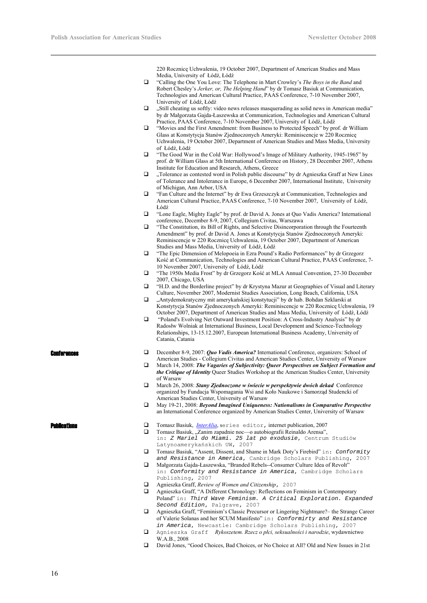220 Rocznicę Uchwalenia, 19 October 2007, Department of American Studies and Mass Media, University of Łódź, Łódź

- "Calling the One You Love: The Telephone in Mart Crowley's *The Boys in the Band* and Robert Chesley's *Jerker, or, The Helping Hand*" by dr Tomasz Basiuk at Communication, Technologies and American Cultural Practice, PAAS Conference, 7-10 November 2007, University of Łódź, Łódź
- "Still cheating us softly: video news releases masquerading as solid news in American media" by dr Małgorzata Gajda-Łaszewska at Communication, Technologies and American Cultural Practice, PAAS Conference, 7-10 November 2007, University of Łódź, Łódź
- "Movies and the First Amendment: from Business to Protected Speech" by prof. dr William Glass at Konstytycja Stanów Zjednoczonych Ameryki: Reminiscencje w 220 Rocznicę Uchwalenia, 19 October 2007, Department of American Studies and Mass Media, University of Łódź, Łódź
- □ "The Good War in the Cold War: Hollywood's Image of Military Authority, 1945-1965" by prof. dr William Glass at 5th International Conference on History, 28 December 2007, Athens Institute for Education and Research, Athens, Greece
- $\Box$  . Tolerance as contested word in Polish public discourse" by dr Agnieszka Graff at New Lines of Tolerance and Intolerance in Europe, 6 December 2007, International Institute, University of Michigan, Ann Arbor, USA
- "Fan Culture and the Internet" by dr Ewa Grzeszczyk at Communication, Technologies and American Cultural Practice, PAAS Conference, 7-10 November 2007, University of Łódź, Łódź
- "Lone Eagle, Mighty Eagle" by prof. dr David A. Jones at Quo Vadis America? International conference, December 8-9, 2007, Collegium Civitas, Warszawa
- "The Constitution, its Bill of Rights, and Selective Disincorporation through the Fourteenth Amendment" by prof. dr David A. Jones at Konstytycja Stanów Zjednoczonych Ameryki: Reminiscencje w 220 Rocznicę Uchwalenia, 19 October 2007, Department of American Studies and Mass Media, University of Łódź, Łódź
- "The Epic Dimension of Melopoeia in Ezra Pound's Radio Performances" by dr Grzegorz Kość at Communication, Technologies and American Cultural Practice, PAAS Conference, 7- 10 November 2007, University of Łódź, Łódź
- "The 1950s Media Frost" by dr Grzegorz Kość at MLA Annual Convention, 27-30 December 2007, Chicago, USA
- "H.D. and the Borderline project" by dr Krystyna Mazur at Geographies of Visual and Literary Culture, November 2007, Modernist Studies Association, Long Beach, California, USA
- "Antydemokratyczny mit amerykańskiej konstytucji" by dr hab. Bohdan Szklarski at Konstytycja Stanów Zjednoczonych Ameryki: Reminiscencje w 220 Rocznicę Uchwalenia, 19 October 2007, Department of American Studies and Mass Media, University of Łódź, Łódź
- "Poland's Evolving Net Outward Investment Position: A Cross-Industry Analysis" by dr Radosłw Wolniak at International Business, Local Development and Science-Technology Relationships, 13-15.12.2007, European International Business Academy, University of Catania, Catania

- 
- **Conferences** December 8-9, 2007: *Quo Vadis America?* International Conference, organizers: School of American Studies - Collegium Civitas and American Studies Center, University of Warsaw
	- March 14, 2008: *The Vagaries of Subjectivity: Queer Perspectives on Subject Formation and the Critique of Identity* Queer Studies Workshop at the American Studies Center, University of Warsaw
	- March 26, 2008: *Stany Zjednoczone w świecie w perspektywie dwóch dekad* Conference organized by Fundacja Wspomagania Wsi and Koło Naukowe i Samorząd Studencki of American Studies Center, University of Warsaw
	- May 19-21, 2008: *Beyond Imagined Uniqueness: Nationalisms in Comparative Perspective* an International Conference organized by American Studies Center, University of Warsaw

- **Ducations** Tomasz Basiuk, *<u>InterAlia</u>*, series editor, internet publication, 2007
	- $\Box$  Tomasz Basiuk, "Zanim zapadnie noc—o autobiografii Reinaldo Arensa", in: *Z Mariel do Miami. 25 lat po exodusie*, Centrum Studiów Latynoamerykańskich UW, 2007
	- Tomasz Basiuk, "Assent, Dissent, and Shame in Mark Doty's Firebird" in: *Conformity and Resistance in America*, Cambridge Scholars Publishing, 2007
	- Małgorzata Gajda-Łaszewska, "Branded Rebels--Consumer Culture Idea of Revolt" in: *Conformity and Resistance in America*, Cambridge Scholars Publishing, 2007
	- Agnieszka Graff, *Review of Women and Citizenship*, 2007
	- Agnieszka Graff, "A Different Chronology: Reflections on Feminism in Contemporary Poland" in: *Third Wave Feminism. A Critical Exploration. Expanded Second Edition*, Palgrave, 2007
	- Agnieszka Graff, "Feminism's Classic Precursor or Lingering Nightmare?– the Strange Career of Valerie Solanas and her SCUM Manifesto" in: *Conformirty and Resistance in America*, Newcastle: Cambridge Scholars Publishing, 2007
	- Agnieszka Graff *Rykoszetem. Rzecz o płci, seksualności i narodzie*, wydawnictwo W.A.B., 2008
	- David Jones, "Good Choices, Bad Choices, or No Choice at All? Old and New Issues in 21st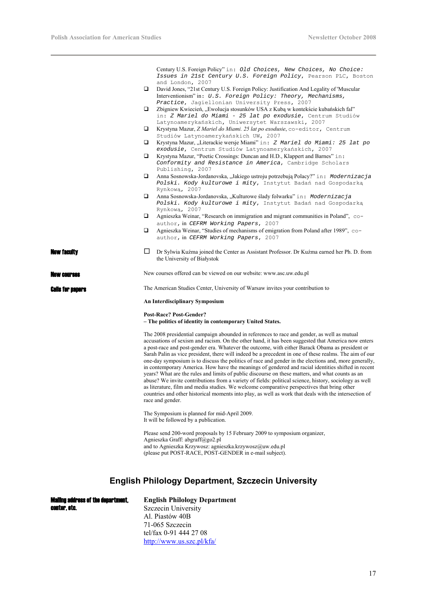Century U.S. Foreign Policy" in: *Old Choices, New Choices, No Choice: Issues in 21st Century U.S. Foreign Policy*, Pearson PLC, Boston and London, 2007

- David Jones, "21st Century U.S. Foreign Policy: Justification And Legality of 'Muscular Interventionism" in: *U.S. Foreign Policy: Theory, Mechanisms, Practice*, Jagiellonian University Press, 2007
- $\square$  Zbigniew Kwiecień, "Ewolucja stosunków USA z Kubą w kontekście kubańskich fal" in: *Z Mariel do Miami - 25 lat po exodusie*, Centrum Studiów Latynoamerykańskich, Uniwersytet Warszawski, 2007
- Krystyna Mazur, *Z Mariel do Miami. 25 lat po exodusie*, co-editor, Centrum Studiów Latynoamerykańskich UW, 2007
- Krystyna Mazur, "Literackie wersje Miami" in: *Z Mariel do Miami: 25 lat po exodusie*, Centrum Studiów Latynoamerykańskich, 2007
- Krystyna Mazur, "Poetic Crossings: Duncan and H.D., Klappert and Barnes" in: *Conformity and Resistance in America*, Cambridge Scholars Publishing, 2007
- Anna Sosnowska-Jordanovska, "Jakiego ustroju potrzebują Polacy?" in: *Modernizacja Polski. Kody kulturowe i mity*, Instytut Badań nad Gospodarką Rynkową, 2007
- Anna Sosnowska-Jordanovska, "Kulturowe ślady folwarku" in: *Modernizacja Polski. Kody kulturowe i mity*, Instytut Badań nad Gospodarką Rynkową, 2007
- Agnieszka Weinar, "Research on immigration and migrant communities in Poland", coauthor, in *CEFRM Working Papers*, 2007
- Agnieszka Weinar, "Studies of mechanisms of emigration from Poland after 1989", coauthor, in *CEFRM Working Papers*, 2007
- **W faculty Dr** Sylwia Kuźma joined the Center as Assistant Professor. Dr Kuźma earned her Ph. D. from the University of Białystok

New courses New courses offered can be viewed on our website: www.asc.uw.edu.pl

**Calls for nanons** The American Studies Center, University of Warsaw invites your contribution to

**An Interdisciplinary Symposium** 

## **Post-Race? Post-Gender?**

**– The politics of identity in contemporary United States.** 

The 2008 presidential campaign abounded in references to race and gender, as well as mutual accusations of sexism and racism. On the other hand, it has been suggested that America now enters a post-race and post-gender era. Whatever the outcome, with either Barack Obama as president or Sarah Palin as vice president, there will indeed be a precedent in one of these realms. The aim of our one-day symposium is to discuss the politics of race and gender in the elections and, more generally, in contemporary America. How have the meanings of gendered and racial identities shifted in recent years? What are the rules and limits of public discourse on these matters, and what counts as an abuse? We invite contributions from a variety of fields: political science, history, sociology as well as literature, film and media studies. We welcome comparative perspectives that bring other countries and other historical moments into play, as well as work that deals with the intersection of race and gender.

The Symposium is planned for mid-April 2009. It will be followed by a publication.

Please send 200-word proposals by 15 February 2009 to symposium organizer, Agnieszka Graff: abgraff@go2.pl and to Agnieszka Krzywosz: agnieszka.krzywosz@uw.edu.pl (please put POST-RACE, POST-GENDER in e-mail subject).

# **English Philology Department, Szczecin University**

| <b>Mailing address of the department.</b> | <b>English Philology Department</b> |
|-------------------------------------------|-------------------------------------|
| center, etc.                              | Szczecin University                 |
|                                           | Al. Piastów 40B                     |
|                                           | 71-065 Szczecin                     |
|                                           | tel/fax 0-91 444 27 08              |
|                                           | http://www.us.szc.pl/kfa/           |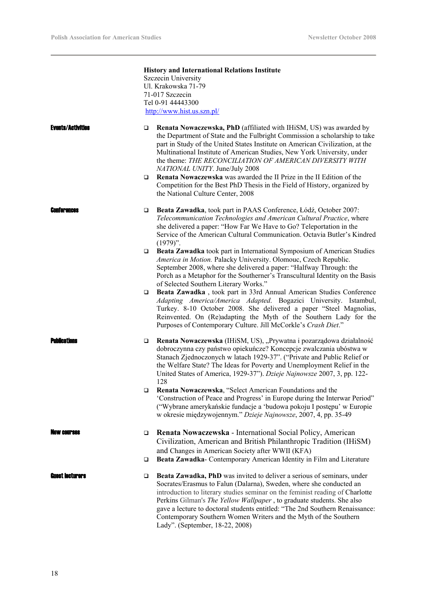|                          | <b>History and International Relations Institute</b>                                                                                                                                                                                                                                                                                                                                                                                                                                                |
|--------------------------|-----------------------------------------------------------------------------------------------------------------------------------------------------------------------------------------------------------------------------------------------------------------------------------------------------------------------------------------------------------------------------------------------------------------------------------------------------------------------------------------------------|
|                          | Szczecin University                                                                                                                                                                                                                                                                                                                                                                                                                                                                                 |
|                          | Ul. Krakowska 71-79                                                                                                                                                                                                                                                                                                                                                                                                                                                                                 |
|                          | 71-017 Szczecin                                                                                                                                                                                                                                                                                                                                                                                                                                                                                     |
|                          | Tel 0-91 44443300                                                                                                                                                                                                                                                                                                                                                                                                                                                                                   |
|                          | http://www.hist.us.szn.pl/                                                                                                                                                                                                                                                                                                                                                                                                                                                                          |
| <b>Events/Activities</b> | Renata Nowaczewska, PhD (affiliated with IHiSM, US) was awarded by<br>❏<br>the Department of State and the Fulbright Commission a scholarship to take<br>part in Study of the United States Institute on American Civilization, at the<br>Multinational Institute of American Studies, New York University, under<br>the theme: THE RECONCILIATION OF AMERICAN DIVERSITY WITH<br>NATIONAL UNITY. June/July 2008<br>Renata Nowaczewska was awarded the II Prize in the II Edition of the<br>$\Box$   |
|                          | Competition for the Best PhD Thesis in the Field of History, organized by<br>the National Culture Center, 2008                                                                                                                                                                                                                                                                                                                                                                                      |
| <b>ENITR' BILBAS</b>     | Beata Zawadka, took part in PAAS Conference, Łódź, October 2007:<br>❏<br>Telecommunication Technologies and American Cultural Practice, where<br>she delivered a paper: "How Far We Have to Go? Teleportation in the<br>Service of the American Cultural Communication. Octavia Butler's Kindred<br>$(1979)$ ".                                                                                                                                                                                     |
|                          | Beata Zawadka took part in International Symposium of American Studies<br>$\Box$<br>America in Motion. Palacky University. Olomouc, Czech Republic.<br>September 2008, where she delivered a paper: "Halfway Through: the<br>Porch as a Metaphor for the Southerner's Transcultural Identity on the Basis<br>of Selected Southern Literary Works."                                                                                                                                                  |
|                          | Beata Zawadka, took part in 33rd Annual American Studies Conference<br>❏<br>Adapting America/America Adapted. Bogazici University. Istambul,<br>Turkey. 8-10 October 2008. She delivered a paper "Steel Magnolias,<br>Reinvented. On (Re)adapting the Myth of the Southern Lady for the<br>Purposes of Contemporary Culture. Jill McCorkle's Crash Diet."                                                                                                                                           |
| Publications             | Renata Nowaczewska (IHiSM, US), "Prywatna i pozarządowa działalność<br>❏<br>dobroczynna czy państwo opiekuńcze? Koncepcje zwalczania ubóstwa w<br>Stanach Zjednoczonych w latach 1929-37". ("Private and Public Relief or<br>the Welfare State? The Ideas for Poverty and Unemployment Relief in the<br>United States of America, 1929-37"). Dzieje Najnowsze 2007, 3, pp. 122-<br>128                                                                                                              |
|                          | Renata Nowaczewska, "Select American Foundations and the<br>❏<br>'Construction of Peace and Progress' in Europe during the Interwar Period"<br>("Wybrane amerykańskie fundacje a 'budowa pokoju I postępu' w Europie<br>w okresie międzywojennym." Dzieje Najnowsze, 2007, 4, pp. 35-49                                                                                                                                                                                                             |
| AW COIFSAS               | Renata Nowaczewska - International Social Policy, American<br>□<br>Civilization, American and British Philanthropic Tradition (IHiSM)                                                                                                                                                                                                                                                                                                                                                               |
|                          | and Changes in American Society after WWII (KFA)<br>Beata Zawadka- Contemporary American Identity in Film and Literature<br>$\Box$                                                                                                                                                                                                                                                                                                                                                                  |
| Euest Iecturers          | Beata Zawadka, PhD was invited to deliver a serious of seminars, under<br>□<br>Socrates/Erasmus to Falun (Dalarna), Sweden, where she conducted an<br>introduction to literary studies seminar on the feminist reading of Charlotte<br>Perkins Gilman's The Yellow Wallpaper, to graduate students. She also<br>gave a lecture to doctoral students entitled: "The 2nd Southern Renaissance:<br>Contemporary Southern Women Writers and the Myth of the Southern<br>Lady". (September, 18-22, 2008) |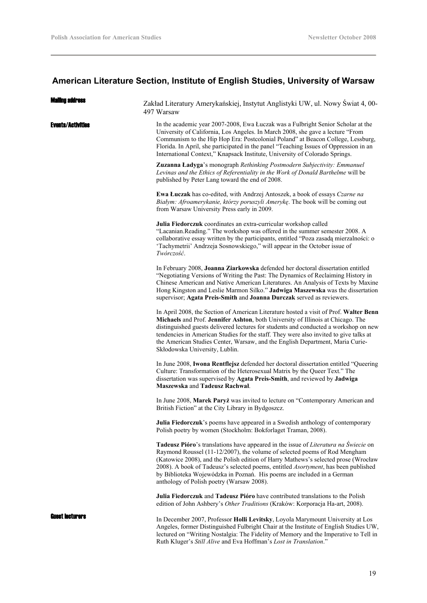# **American Literature Section, Institute of English Studies, University of Warsaw**

| <b>Malino address</b> | Zakład Literatury Amerykańskiej, Instytut Anglistyki UW, ul. Nowy Świat 4, 00-<br>497 Warsaw                                                                                                                                                                                                                                                                                                                                                                                 |
|-----------------------|------------------------------------------------------------------------------------------------------------------------------------------------------------------------------------------------------------------------------------------------------------------------------------------------------------------------------------------------------------------------------------------------------------------------------------------------------------------------------|
| Events/Activities     | In the academic year 2007-2008, Ewa Łuczak was a Fulbright Senior Scholar at the<br>University of California, Los Angeles. In March 2008, she gave a lecture "From<br>Communism to the Hip Hop Era: Postcolonial Poland" at Beacon College, Lessburg,<br>Florida. In April, she participated in the panel "Teaching Issues of Oppression in an<br>International Context," Knapsack Institute, University of Colorado Springs.                                                |
|                       | Zuzanna Ładyga's monograph Rethinking Postmodern Subjectivity: Emmanuel<br>Levinas and the Ethics of Referentiality in the Work of Donald Barthelme will be<br>published by Peter Lang toward the end of 2008.                                                                                                                                                                                                                                                               |
|                       | <b>Ewa Łuczak</b> has co-edited, with Andrzej Antoszek, a book of essays Czarne na<br>Białym: Afroamerykanie, którzy poruszyli Amerykę. The book will be coming out<br>from Warsaw University Press early in 2009.                                                                                                                                                                                                                                                           |
|                       | Julia Fiedorczuk coordinates an extra-curricular workshop called<br>"Lacanian.Reading." The workshop was offered in the summer semester 2008. A<br>collaborative essay written by the participants, entitled "Poza zasadą mierzalności: o<br>'Tachymetrii' Andrzeja Sosnowskiego," will appear in the October issue of<br>Twórczość.                                                                                                                                         |
|                       | In February 2008, Joanna Ziarkowska defended her doctoral dissertation entitled<br>"Negotiating Versions of Writing the Past: The Dynamics of Reclaiming History in<br>Chinese American and Native American Literatures. An Analysis of Texts by Maxine<br>Hong Kingston and Leslie Marmon Silko." Jadwiga Maszewska was the dissertation<br>supervisor; Agata Preis-Smith and Joanna Durczak served as reviewers.                                                           |
|                       | In April 2008, the Section of American Literature hosted a visit of Prof. Walter Benn<br>Michaels and Prof. Jennifer Ashton, both University of Illinois at Chicago. The<br>distinguished guests delivered lectures for students and conducted a workshop on new<br>tendencies in American Studies for the staff. They were also invited to give talks at<br>the American Studies Center, Warsaw, and the English Department, Maria Curie-<br>Skłodowska University, Lublin. |
|                       | In June 2008, Iwona Rentflejsz defended her doctoral dissertation entitled "Queering<br>Culture: Transformation of the Heterosexual Matrix by the Queer Text." The<br>dissertation was supervised by Agata Preis-Smith, and reviewed by Jadwiga<br>Maszewska and Tadeusz Rachwał.                                                                                                                                                                                            |
|                       | In June 2008, Marek Paryż was invited to lecture on "Contemporary American and<br>British Fiction" at the City Library in Bydgoszcz.                                                                                                                                                                                                                                                                                                                                         |
|                       | Julia Fiedorczuk's poems have appeared in a Swedish anthology of contemporary<br>Polish poetry by women (Stockholm: Bokforlaget Traman, 2008).                                                                                                                                                                                                                                                                                                                               |
|                       | <b>Tadeusz Pióro's translations have appeared in the issue of Literatura na Świecie on</b><br>Raymond Roussel (11-12/2007), the volume of selected poems of Rod Mengham<br>(Katowice 2008), and the Polish edition of Harry Mathews's selected prose (Wrocław<br>2008). A book of Tadeusz's selected poems, entitled Asortyment, has been published<br>by Biblioteka Wojewódzka in Poznań. His poems are included in a German<br>anthology of Polish poetry (Warsaw 2008).   |
|                       | Julia Fiedorczuk and Tadeusz Pióro have contributed translations to the Polish<br>edition of John Ashbery's Other Traditions (Kraków: Korporacja Ha-art, 2008).                                                                                                                                                                                                                                                                                                              |
| Guest Iecturers       | In December 2007, Professor Holli Levitsky, Loyola Marymount University at Los<br>Angeles, former Distinguished Fulbright Chair at the Institute of English Studies UW,<br>lectured on "Writing Nostalgia: The Fidelity of Memory and the Imperative to Tell in<br>Ruth Kluger's Still Alive and Eva Hoffman's Lost in Translation."                                                                                                                                         |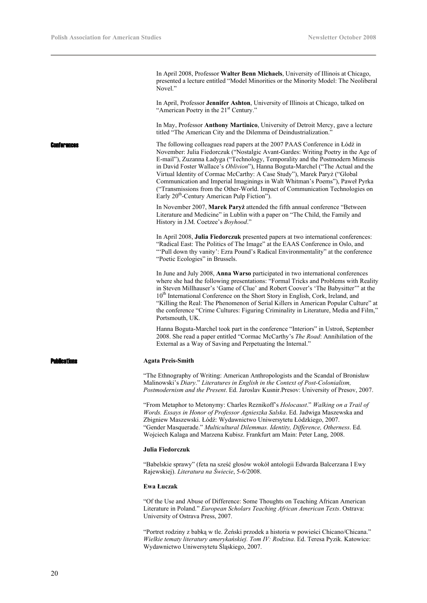In April 2008, Professor **Walter Benn Michaels**, University of Illinois at Chicago, presented a lecture entitled "Model Minorities or the Minority Model: The Neoliberal Novel."

In April, Professor **Jennifer Ashton**, University of Illinois at Chicago, talked on "American Poetry in the 21<sup>st</sup> Century."

In May, Professor **Anthony Martinico**, University of Detroit Mercy, gave a lecture titled "The American City and the Dilemma of Deindustrialization.

The following colleagues read papers at the 2007 PAAS Conference in Łódź in November: Julia Fiedorczuk ("Nostalgic Avant-Gardes: Writing Poetry in the Age of E-mail"), Zuzanna Ładyga ("Technology, Temporality and the Postmodern Mimesis in David Foster Wallace's *Oblivion*"), Hanna Boguta-Marchel ("The Actual and the Virtual Identity of Cormac McCarthy: A Case Study"), Marek Paryż ("Global Communication and Imperial Imaginings in Walt Whitman's Poems"), Paweł Pyrka ("Transmissions from the Other-World. Impact of Communication Technologies on Early 20th-Century American Pulp Fiction").

> In November 2007, **Marek Paryż** attended the fifth annual conference "Between Literature and Medicine" in Lublin with a paper on "The Child, the Family and History in J.M. Coetzee's *Boyhood*."

In April 2008, **Julia Fiedorczuk** presented papers at two international conferences: "Radical East: The Politics of The Image" at the EAAS Conference in Oslo, and "'Pull down thy vanity': Ezra Pound's Radical Environmentality" at the conference "Poetic Ecologies" in Brussels.

In June and July 2008, **Anna Warso** participated in two international conferences where she had the following presentations: "Formal Tricks and Problems with Reality in Steven Millhauser's 'Game of Clue' and Robert Coover's 'The Babysitter'" at the 10<sup>th</sup> International Conference on the Short Story in English, Cork, Ireland, and "Killing the Real: The Phenomenon of Serial Killers in American Popular Culture" at the conference "Crime Cultures: Figuring Criminality in Literature, Media and Film," Portsmouth, UK.

Hanna Boguta-Marchel took part in the conference "Interiors" in Ustroń, September 2008. She read a paper entitled "Cormac McCarthy's *The Road*: Annihilation of the External as a Way of Saving and Perpetuating the Internal."

### Publications **Agata Preis-Smith**

"The Ethnography of Writing: American Anthropologists and the Scandal of Bronisław Malinowski's *Diary*." *Literatures in English in the Context of Post-Colonialism, Postmodernism and the Present*. Ed. Jaroslav Kusnir.Presov: University of Presov, 2007.

"From Metaphor to Metonymy: Charles Reznikoff's *Holocaust*." *Walking on a Trail of Words. Essays in Honor of Professor Agnieszka Salska*. Ed. Jadwiga Maszewska and Zbigniew Maszewski. Łódź: Wydawnictwo Uniwersytetu Łódzkiego, 2007. "Gender Masquerade." *Multicultural Dilemmas. Identity, Difference, Otherness*. Ed. Wojciech Kalaga and Marzena Kubisz. Frankfurt am Main: Peter Lang, 2008.

### **Julia Fiedorczuk**

"Babelskie sprawy" (feta na sześć głosów wokół antologii Edwarda Balcerzana I Ewy Rajewskiej). *Literatura na Świecie*, 5-6/2008.

### **Ewa Łuczak**

"Of the Use and Abuse of Difference: Some Thoughts on Teaching African American Literature in Poland." *European Scholars Teaching African American Texts*. Ostrava: University of Ostrava Press, 2007.

"Portret rodziny z babką w tle. Żeński przodek a historia w powieści Chicano/Chicana." *Wielkie tematy literatury amerykańskiej. Tom IV: Rodzina*. Ed. Teresa Pyzik. Katowice: Wydawnictwo Uniwersytetu Śląskiego, 2007.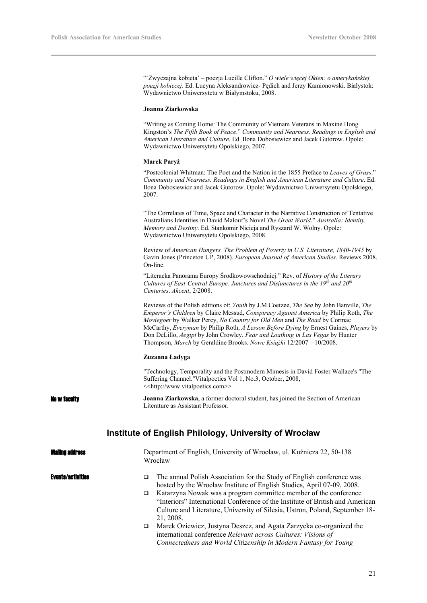"'Zwyczajna kobieta' – poezja Lucille Clifton." *O wiele więcej Okien: o amerykańskiej poezji kobiecej*. Ed. Lucyna Aleksandrowicz- Pędich and Jerzy Kamionowski. Białystok: Wydawnictwo Uniwersytetu w Białymstoku, 2008.

## **Joanna Ziarkowska**

"Writing as Coming Home: The Community of Vietnam Veterans in Maxine Hong Kingston's *The Fifth Book of Peace*." *Community and Nearness. Readings in English and American Literature and Culture*. Ed. Ilona Dobosiewicz and Jacek Gutorow. Opole: Wydawnictwo Uniwersytetu Opolskiego, 2007.

## **Marek Paryż**

"Postcolonial Whitman: The Poet and the Nation in the 1855 Preface to *Leaves of Grass*." *Community and Nearness. Readings in English and American Literature and Culture*. Ed. Ilona Dobosiewicz and Jacek Gutorow. Opole: Wydawnictwo Uniwersytetu Opolskiego, 2007.

"The Correlates of Time, Space and Character in the Narrative Construction of Tentative Australians Identities in David Malouf's Novel *The Great World*." *Australia: Identity, Memory and Destiny*. Ed. Stankomir Nicieja and Ryszard W. Wolny. Opole: Wydawnictwo Uniwersytetu Opolskiego, 2008.

Review of *American Hungers. The Problem of Poverty in U.S. Literature, 1840-1945* by Gavin Jones (Princeton UP, 2008). *European Journal of American Studies*. Reviews 2008. On-line.

"Literacka Panorama Europy Środkowowschodniej." Rev. of *History of the Literary Cultures of East-Central Europe. Junctures and Disjunctures in the 19th and 20th Centuries*. *Akcent*, 2/2008.

Reviews of the Polish editions of: *Youth* by J.M Coetzee, *The Sea* by John Banville, *The Emperor's Children* by Claire Messud, *Conspiracy Against America* by Philip Roth, *The Moviegoer* by Walker Percy, *No Country for Old Men* and *The Road* by Cormac McCarthy, *Everyman* by Philip Roth, *A Lesson Before Dying* by Ernest Gaines, *Players* by Don DeLillo, *Aegipt* by John Crowley, *Fear and Loathing in Las Vegas* by Hunter Thompson, *March* by Geraldine Brooks. *Nowe Książki* 12/2007 – 10/2008.

### **Zuzanna Ładyga**

"Technology, Temporality and the Postmodern Mimesis in David Foster Wallace's "The Suffering Channel."Vitalpoetics Vol 1, No.3, October, 2008, <<http://www.vitalpoetics.com>>

**New faculty Joanna Ziarkowska**, a former doctoral student, has joined the Section of American Literature as Assistant Professor.

# **Institute of English Philology, University of Wrocław**

| Department of English, University of Wrocław, ul. Kuźnicza 22, 50-138<br>Wrocław                                                                                                                                                                                                                                                                                                                                                                                                                                                                                                                                            |
|-----------------------------------------------------------------------------------------------------------------------------------------------------------------------------------------------------------------------------------------------------------------------------------------------------------------------------------------------------------------------------------------------------------------------------------------------------------------------------------------------------------------------------------------------------------------------------------------------------------------------------|
| The annual Polish Association for the Study of English conference was<br>□<br>hosted by the Wrocław Institute of English Studies, April 07-09, 2008.<br>Katarzyna Nowak was a program committee member of the conference<br>□<br>"Interiors" International Conference of the Institute of British and American<br>Culture and Literature, University of Silesia, Ustron, Poland, September 18-<br>21, 2008.<br>Marek Oziewicz, Justyna Deszcz, and Agata Zarzycka co-organized the<br>□<br>international conference Relevant across Cultures: Visions of<br>Connectedness and World Citizenship in Modern Fantasy for Young |
|                                                                                                                                                                                                                                                                                                                                                                                                                                                                                                                                                                                                                             |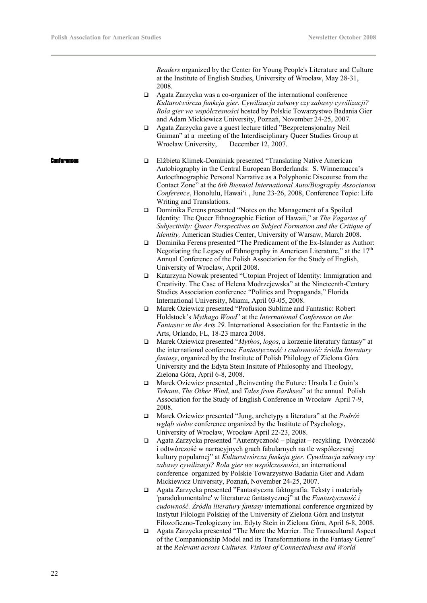*Readers* organized by the Center for Young People's Literature and Culture at the Institute of English Studies, University of Wrocław, May 28-31, 2008.

- Agata Zarzycka was a co-organizer of the international conference *Kulturotwórcza funkcja gier. Cywilizacja zabawy czy zabawy cywilizacji? Rola gier we współczesności* hosted by Polskie Towarzystwo Badania Gier and Adam Mickiewicz University, Poznań, November 24-25, 2007.
- Agata Zarzycka gave a guest lecture titled "Bezpretensjonalny Neil Gaiman" at a meeting of the Interdisciplinary Queer Studies Group at Wrocław University, December 12, 2007.
- **nferences**  $\square$  Elżbieta Klimek-Dominiak presented "Translating Native American Autobiography in the Central European Borderlands: S. Winnemucca's Autoethnographic Personal Narrative as a Polyphonic Discourse from the Contact Zone" at the *6th Biennial International Auto/Biography Association Conference*, Honolulu, Hawai'i , June 23-26, 2008, Conference Topic: Life Writing and Translations.
	- Dominika Ferens presented "Notes on the Management of a Spoiled Identity: The Queer Ethnographic Fiction of Hawaii," at *The Vagaries of Subjectivity: Queer Perspectives on Subject Formation and the Critique of Identity,* American Studies Center, University of Warsaw, March 2008.
	- Dominika Ferens presented "The Predicament of the Ex-Islander as Author: Negotiating the Legacy of Ethnography in American Literature," at the  $17<sup>th</sup>$ Annual Conference of the Polish Association for the Study of English, University of Wrocław, April 2008.
	- Katarzyna Nowak presented "Utopian Project of Identity: Immigration and Creativity. The Case of Helena Modrzejewska" at the Nineteenth-Century Studies Association conference "Politics and Propaganda," Florida International University, Miami, April 03-05, 2008.
	- Marek Oziewicz presented "Profusion Sublime and Fantastic: Robert Holdstock's *Mythago Wood*" at the *International Conference on the Fantastic in the Arts 29*. International Association for the Fantastic in the Arts, Orlando, FL, 18-23 marca 2008.
	- Marek Oziewicz presented "*Mythos*, *logos*, a korzenie literatury fantasy" at the international conference *Fantastyczność i cudowność: źródła literatury fantasy*, organized by the Institute of Polish Philology of Zielona Góra University and the Edyta Stein Insitute of Philosophy and Theology, Zielona Góra, April 6-8, 2008.
	- $\Box$  Marek Oziewicz presented "Reinventing the Future: Ursula Le Guin's *Tehanu*, *The Other Wind*, and *Tales from Earthsea*" at the annual Polish Association for the Study of English Conference in Wrocław April 7-9, 2008.
	- Marek Oziewicz presented "Jung, archetypy a literatura" at the *Podróż wgłąb siebie* conference organized by the Institute of Psychology, University of Wrocław, Wrocław April 22-23, 2008.
	- Agata Zarzycka presented "Autentyczność plagiat recykling. Twórczość i odtwórczość w narracyjnych grach fabularnych na tle współczesnej kultury popularnej" at *Kulturotwórcza funkcja gier. Cywilizacja zabawy czy zabawy cywilizacji? Rola gier we współczesności*, an international conference organized by Polskie Towarzystwo Badania Gier and Adam Mickiewicz University, Poznań, November 24-25, 2007.
	- Agata Zarzycka presented "Fantastyczna faktografia. Teksty i materiały 'paradokumentalne' w literaturze fantastycznej" at the *Fantastyczność i cudowność. Źródła literatury fantasy* international conference organized by Instytut Filologii Polskiej of the University of Zielona Góra and Instytut Filozoficzno-Teologiczny im. Edyty Stein in Zielona Góra, April 6-8, 2008.
	- Agata Zarzycka presented "The More the Merrier. The Transcultural Aspect of the Companionship Model and its Transformations in the Fantasy Genre" at the *Relevant across Cultures. Visions of Connectedness and World*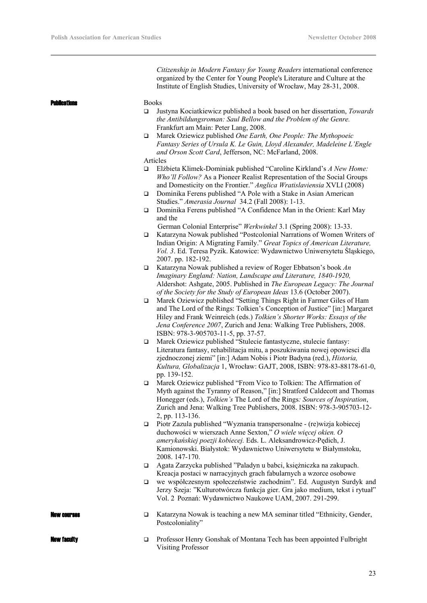*Citizenship in Modern Fantasy for Young Readers* international conference organized by the Center for Young People's Literature and Culture at the Institute of English Studies, University of Wrocław, May 28-31, 2008.

**blications**  $\qquad \qquad \text{Books}$ 

- Justyna Kociatkiewicz published a book based on her dissertation, *Towards the Antibildungsroman: Saul Bellow and the Problem of the Genre.*  Frankfurt am Main: Peter Lang, 2008.
- Marek Oziewicz published *One Earth, One People: The Mythopoeic Fantasy Series of Ursula K. Le Guin, Lloyd Alexander, Madeleine L'Engle and Orson Scott Card*, Jefferson, NC: McFarland, 2008.

```
Articles
```
- Elżbieta Klimek-Dominiak published "Caroline Kirkland's *A New Home: Who'll Follow?* As a Pioneer Realist Representation of the Social Groups and Domesticity on the Frontier." *Anglica Wratislaviensia* XVLI (2008)
- Dominika Ferens published "A Pole with a Stake in Asian American Studies." *Amerasia Journal* 34.2 (Fall 2008): 1-13.
- Dominika Ferens published "A Confidence Man in the Orient: Karl May and the

German Colonial Enterprise" *Werkwinkel* 3.1 (Spring 2008): 13-33.

- Katarzyna Nowak published "Postcolonial Narrations of Women Writers of Indian Origin: A Migrating Family." *Great Topics of American Literature, Vol. 3*. Ed. Teresa Pyzik. Katowice: Wydawnictwo Uniwersytetu Śląskiego, 2007. pp. 182-192.
- Katarzyna Nowak published a review of Roger Ebbatson's book *An Imaginary England: Nation, Landscape and Literature, 1840-1920,*  Aldershot: Ashgate, 2005. Published in *The European Legacy: The Journal of the Society for the Study of European Ideas* 13.6 (October 2007).
- Marek Oziewicz published "Setting Things Right in Farmer Giles of Ham and The Lord of the Rings: Tolkien's Conception of Justice" [in:] Margaret Hiley and Frank Weinreich (eds.) *Tolkien's Shorter Works: Essays of the Jena Conference 2007*, Zurich and Jena: Walking Tree Publishers, 2008. ISBN: 978-3-905703-11-5, pp. 37-57.
- Marek Oziewicz published "Stulecie fantastyczne, stulecie fantasy: Literatura fantasy, rehabilitacja mitu, a poszukiwania nowej opowiesci dla zjednoczonej ziemi" [in:] Adam Nobis i Piotr Badyna (red.), *Historia, Kultura, Globalizacja* 1, Wrocław: GAJT, 2008, ISBN: 978-83-88178-61-0, pp. 139-152.
- Marek Oziewicz published "From Vico to Tolkien: The Affirmation of Myth against the Tyranny of Reason," [in:] Stratford Caldecott and Thomas Honegger (eds.), *Tolkien's* The Lord of the Rings*: Sources of Inspiration*, Zurich and Jena: Walking Tree Publishers, 2008. ISBN: 978-3-905703-12- 2, pp. 113-136.
- Piotr Zazula published "Wyznania transpersonalne (re)wizja kobiecej duchowości w wierszach Anne Sexton," *O wiele więcej okien. O amerykańskiej poezji kobiecej.* Eds. L. Aleksandrowicz-Pędich, J. Kamionowski. Białystok: Wydawnictwo Uniwersytetu w Białymstoku, 2008. 147-170.
- Agata Zarzycka published "Paladyn u babci, księżniczka na zakupach. Kreacja postaci w narracyjnych grach fabularnych a wzorce osobowe
- we współczesnym społeczeństwie zachodnim". Ed. Augustyn Surdyk and Jerzy Szeja: "Kulturotwórcza funkcja gier. Gra jako medium, tekst i rytuał" Vol. 2 Poznań: Wydawnictwo Naukowe UAM, 2007. 291-299.
- **EXAMELESS EXAMELESS EXAMELES K**atarzyna Nowak is teaching a new MA seminar titled "Ethnicity, Gender, Postcoloniality"
- **New faculty Example 3** Professor Henry Gonshak of Montana Tech has been appointed Fulbright Visiting Professor